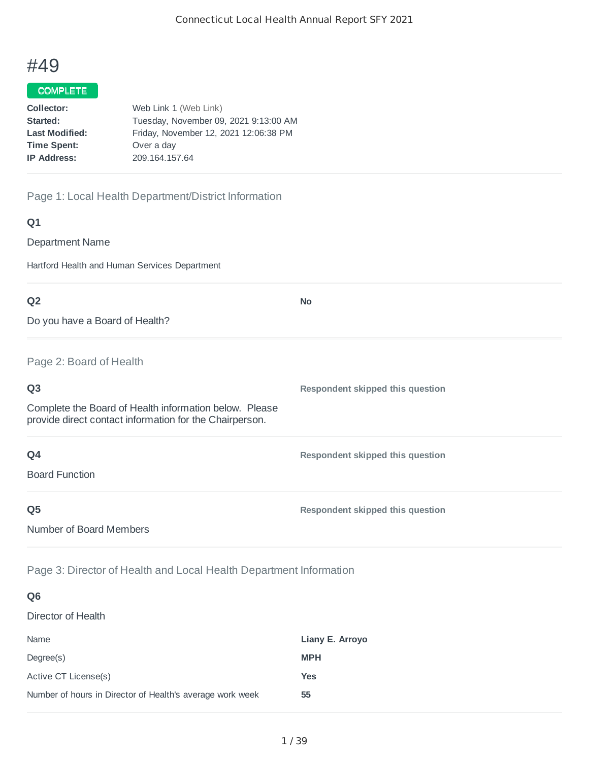# #49

## COMPLETE

| Collector:            | Web Link 1 (Web Link)                 |
|-----------------------|---------------------------------------|
| Started:              | Tuesday, November 09, 2021 9:13:00 AM |
| <b>Last Modified:</b> | Friday, November 12, 2021 12:06:38 PM |
| <b>Time Spent:</b>    | Over a day                            |
| <b>IP Address:</b>    | 209.164.157.64                        |
|                       |                                       |

## Page 1: Local Health Department/District Information

### **Q1**

Department Name

Hartford Health and Human Services Department

| Q <sub>2</sub>                                                                                                    | <b>No</b>                        |
|-------------------------------------------------------------------------------------------------------------------|----------------------------------|
| Do you have a Board of Health?                                                                                    |                                  |
| Page 2: Board of Health                                                                                           |                                  |
| Q <sub>3</sub>                                                                                                    | Respondent skipped this question |
| Complete the Board of Health information below. Please<br>provide direct contact information for the Chairperson. |                                  |
| Q4                                                                                                                | Respondent skipped this question |
| <b>Board Function</b>                                                                                             |                                  |
| Q <sub>5</sub>                                                                                                    | Respondent skipped this question |
| Number of Board Members                                                                                           |                                  |

Page 3: Director of Health and Local Health Department Information

| Q <sub>6</sub>                                            |                 |
|-----------------------------------------------------------|-----------------|
| Director of Health                                        |                 |
| Name                                                      | Liany E. Arroyo |
| Degree(s)                                                 | <b>MPH</b>      |
| Active CT License(s)                                      | <b>Yes</b>      |
| Number of hours in Director of Health's average work week | 55              |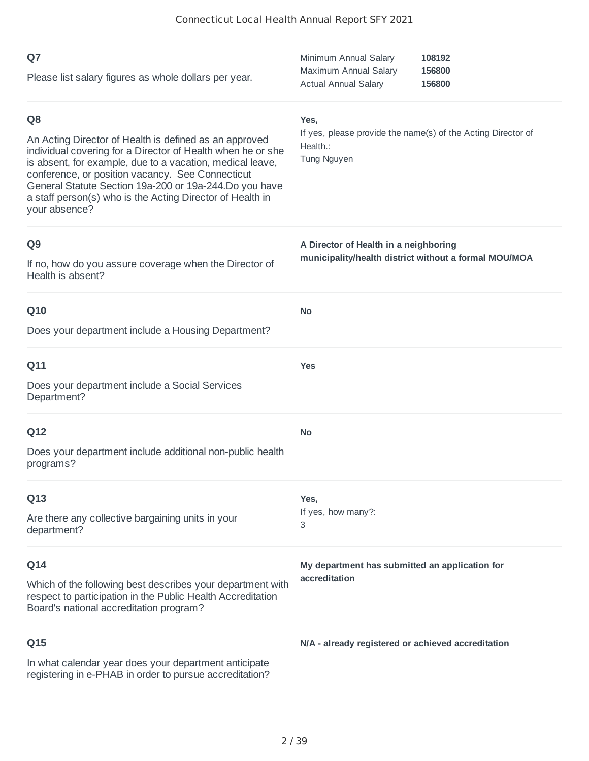| Q7<br>Please list salary figures as whole dollars per year.                                                                                                                                                                                                                                                                                                                                       | Minimum Annual Salary<br>108192<br>Maximum Annual Salary<br>156800<br><b>Actual Annual Salary</b><br>156800 |
|---------------------------------------------------------------------------------------------------------------------------------------------------------------------------------------------------------------------------------------------------------------------------------------------------------------------------------------------------------------------------------------------------|-------------------------------------------------------------------------------------------------------------|
| Q <sub>8</sub><br>An Acting Director of Health is defined as an approved<br>individual covering for a Director of Health when he or she<br>is absent, for example, due to a vacation, medical leave,<br>conference, or position vacancy. See Connecticut<br>General Statute Section 19a-200 or 19a-244. Do you have<br>a staff person(s) who is the Acting Director of Health in<br>your absence? | Yes,<br>If yes, please provide the name(s) of the Acting Director of<br>Health.:<br>Tung Nguyen             |
| Q <sub>9</sub><br>If no, how do you assure coverage when the Director of<br>Health is absent?                                                                                                                                                                                                                                                                                                     | A Director of Health in a neighboring<br>municipality/health district without a formal MOU/MOA              |
| Q10<br>Does your department include a Housing Department?                                                                                                                                                                                                                                                                                                                                         | <b>No</b>                                                                                                   |
| Q11<br>Does your department include a Social Services<br>Department?                                                                                                                                                                                                                                                                                                                              | <b>Yes</b>                                                                                                  |
| Q12<br>Does your department include additional non-public health<br>programs?                                                                                                                                                                                                                                                                                                                     | <b>No</b>                                                                                                   |
| Q13<br>Are there any collective bargaining units in your<br>department?                                                                                                                                                                                                                                                                                                                           | Yes,<br>If yes, how many?:<br>3                                                                             |
| Q14<br>Which of the following best describes your department with<br>respect to participation in the Public Health Accreditation<br>Board's national accreditation program?                                                                                                                                                                                                                       | My department has submitted an application for<br>accreditation                                             |
| Q15<br>In what calendar year does your department anticipate<br>registering in e-PHAB in order to pursue accreditation?                                                                                                                                                                                                                                                                           | N/A - already registered or achieved accreditation                                                          |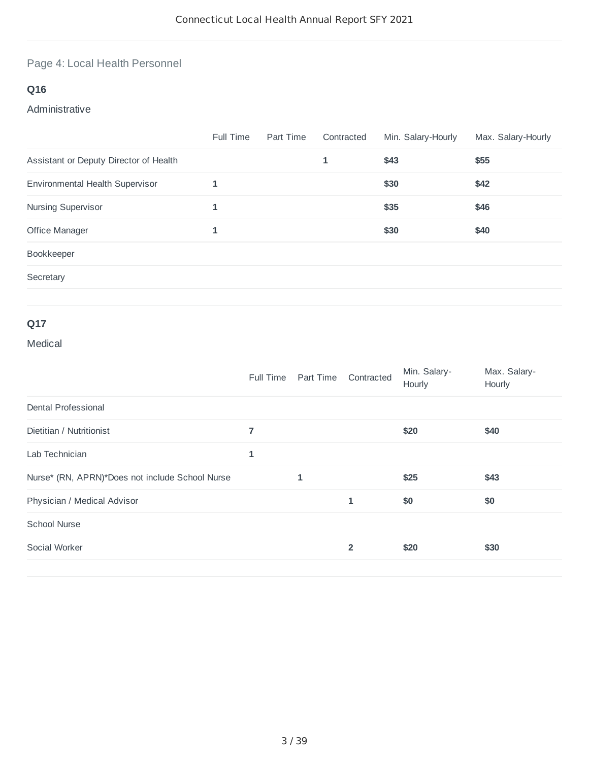# Page 4: Local Health Personnel

# **Q16**

## Administrative

|                                        | Full Time | Part Time | Contracted | Min. Salary-Hourly | Max. Salary-Hourly |
|----------------------------------------|-----------|-----------|------------|--------------------|--------------------|
| Assistant or Deputy Director of Health |           |           | 1          | \$43               | \$55               |
| Environmental Health Supervisor        | 1         |           |            | \$30               | \$42               |
| Nursing Supervisor                     | 1         |           |            | \$35               | \$46               |
| Office Manager                         | 1         |           |            | \$30               | \$40               |
| Bookkeeper                             |           |           |            |                    |                    |
| Secretary                              |           |           |            |                    |                    |
|                                        |           |           |            |                    |                    |

# **Q17**

## Medical

|                                                 | Full Time      | Part Time | Contracted     | Min. Salary-<br>Hourly | Max. Salary-<br>Hourly |
|-------------------------------------------------|----------------|-----------|----------------|------------------------|------------------------|
| Dental Professional                             |                |           |                |                        |                        |
| Dietitian / Nutritionist                        | $\overline{7}$ |           |                | \$20                   | \$40                   |
| Lab Technician                                  | 1              |           |                |                        |                        |
| Nurse* (RN, APRN)*Does not include School Nurse |                | 1         |                | \$25                   | \$43                   |
| Physician / Medical Advisor                     |                |           | 1              | \$0                    | \$0                    |
| <b>School Nurse</b>                             |                |           |                |                        |                        |
| Social Worker                                   |                |           | $\overline{2}$ | \$20                   | \$30                   |
|                                                 |                |           |                |                        |                        |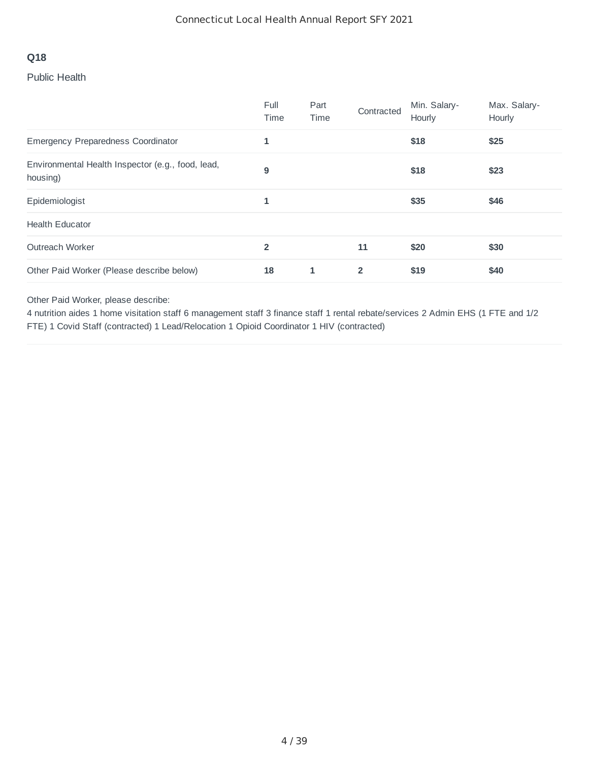#### Public Health

|                                                               | Full<br>Time   | Part<br>Time | Contracted     | Min. Salary-<br>Hourly | Max. Salary-<br>Hourly |
|---------------------------------------------------------------|----------------|--------------|----------------|------------------------|------------------------|
| Emergency Preparedness Coordinator                            | 1              |              |                | \$18                   | \$25                   |
| Environmental Health Inspector (e.g., food, lead,<br>housing) | 9              |              |                | \$18                   | \$23                   |
| Epidemiologist                                                | 1              |              |                | \$35                   | \$46                   |
| <b>Health Educator</b>                                        |                |              |                |                        |                        |
| Outreach Worker                                               | $\overline{2}$ |              | 11             | \$20                   | \$30                   |
| Other Paid Worker (Please describe below)                     | 18             | 1            | $\overline{2}$ | \$19                   | \$40                   |

Other Paid Worker, please describe:

4 nutrition aides 1 home visitation staff 6 management staff 3 finance staff 1 rental rebate/services 2 Admin EHS (1 FTE and 1/2 FTE) 1 Covid Staff (contracted) 1 Lead/Relocation 1 Opioid Coordinator 1 HIV (contracted)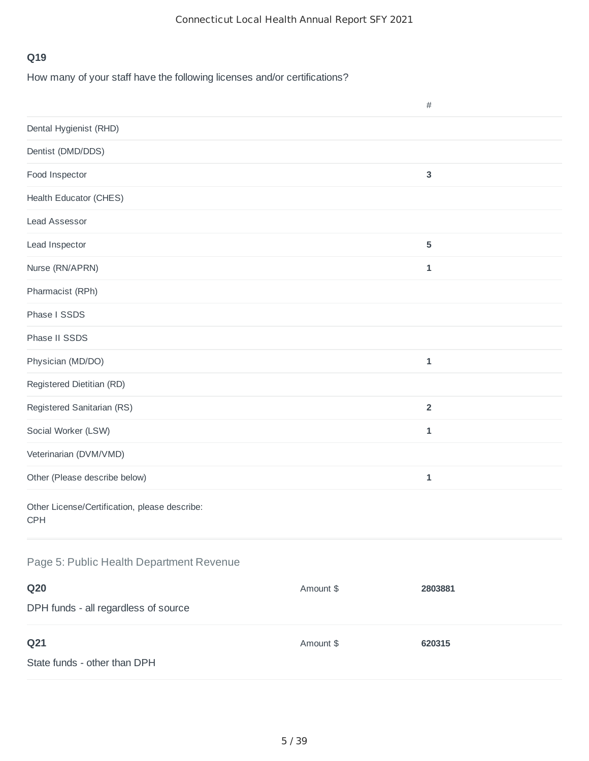How many of your staff have the following licenses and/or certifications?

|                                                             |           | $\#$           |
|-------------------------------------------------------------|-----------|----------------|
| Dental Hygienist (RHD)                                      |           |                |
| Dentist (DMD/DDS)                                           |           |                |
| Food Inspector                                              |           | $\mathbf{3}$   |
| <b>Health Educator (CHES)</b>                               |           |                |
| <b>Lead Assessor</b>                                        |           |                |
| Lead Inspector                                              |           | $\sqrt{5}$     |
| Nurse (RN/APRN)                                             |           | $\mathbf 1$    |
| Pharmacist (RPh)                                            |           |                |
| Phase I SSDS                                                |           |                |
| Phase II SSDS                                               |           |                |
| Physician (MD/DO)                                           |           | $\mathbf 1$    |
| Registered Dietitian (RD)                                   |           |                |
| Registered Sanitarian (RS)                                  |           | $\overline{2}$ |
| Social Worker (LSW)                                         |           | $\mathbf 1$    |
| Veterinarian (DVM/VMD)                                      |           |                |
| Other (Please describe below)                               |           | $\mathbf 1$    |
| Other License/Certification, please describe:<br><b>CPH</b> |           |                |
| Page 5: Public Health Department Revenue                    |           |                |
| <b>Q20</b>                                                  | Amount \$ | 2803881        |
| DPH funds - all regardless of source                        |           |                |
| Q <sub>21</sub>                                             | Amount \$ | 620315         |
| State funds - other than DPH                                |           |                |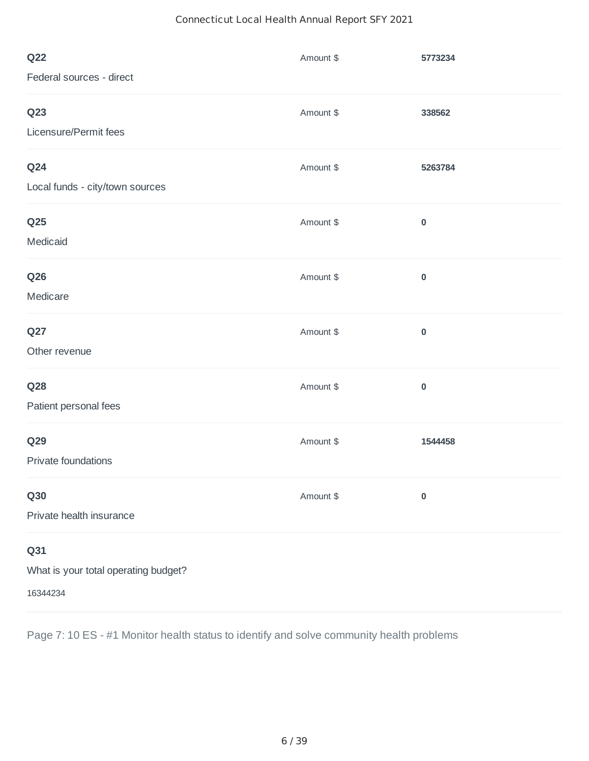## Connecticut Local Health Annual Report SFY 2021

| <b>Q22</b>                           | Amount \$ | 5773234   |
|--------------------------------------|-----------|-----------|
| Federal sources - direct             |           |           |
| Q <sub>23</sub>                      | Amount \$ | 338562    |
| Licensure/Permit fees                |           |           |
| Q24                                  | Amount \$ | 5263784   |
| Local funds - city/town sources      |           |           |
| Q <sub>25</sub>                      | Amount \$ | $\pmb{0}$ |
| Medicaid                             |           |           |
| <b>Q26</b>                           | Amount \$ | $\pmb{0}$ |
| Medicare                             |           |           |
| Q27                                  | Amount \$ | $\pmb{0}$ |
| Other revenue                        |           |           |
| Q28                                  | Amount \$ | $\pmb{0}$ |
| Patient personal fees                |           |           |
| <b>Q29</b>                           | Amount \$ | 1544458   |
| Private foundations                  |           |           |
| <b>Q30</b>                           | Amount \$ | $\pmb{0}$ |
| Private health insurance             |           |           |
| Q31                                  |           |           |
| What is your total operating budget? |           |           |
| 16344234                             |           |           |

Page 7: 10 ES - #1 Monitor health status to identify and solve community health problems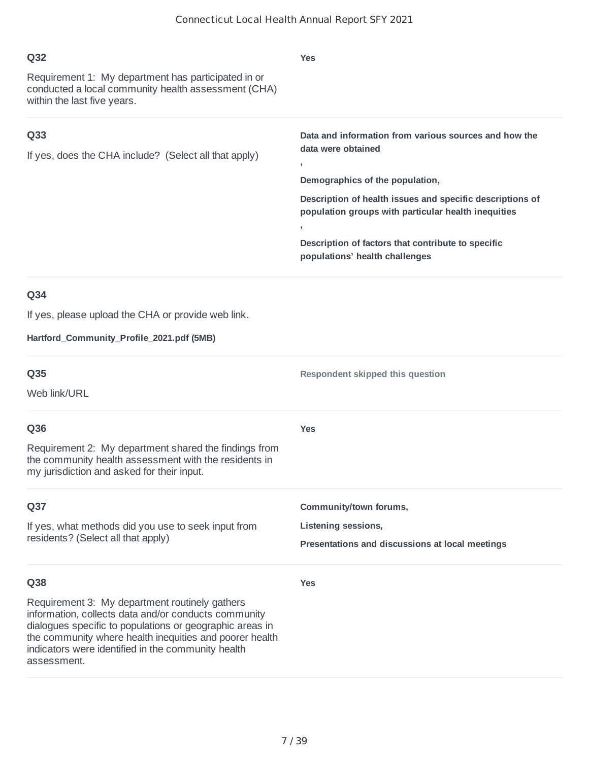| Q32<br>Requirement 1: My department has participated in or<br>conducted a local community health assessment (CHA)<br>within the last five years.                                                                                     | <b>Yes</b>                                                                                                                                                                                                                                                                                                                       |
|--------------------------------------------------------------------------------------------------------------------------------------------------------------------------------------------------------------------------------------|----------------------------------------------------------------------------------------------------------------------------------------------------------------------------------------------------------------------------------------------------------------------------------------------------------------------------------|
| Q <sub>33</sub><br>If yes, does the CHA include? (Select all that apply)                                                                                                                                                             | Data and information from various sources and how the<br>data were obtained<br>э.<br>Demographics of the population,<br>Description of health issues and specific descriptions of<br>population groups with particular health inequities<br>Description of factors that contribute to specific<br>populations' health challenges |
| Q34<br>If yes, please upload the CHA or provide web link.<br>Hartford_Community_Profile_2021.pdf (5MB)                                                                                                                               |                                                                                                                                                                                                                                                                                                                                  |
| Q35<br>Web link/URL                                                                                                                                                                                                                  | Respondent skipped this question                                                                                                                                                                                                                                                                                                 |
| Q36<br>Requirement 2: My department shared the findings from<br>the community health assessment with the residents in<br>my jurisdiction and asked for their input.                                                                  | <b>Yes</b>                                                                                                                                                                                                                                                                                                                       |
| Q37<br>If yes, what methods did you use to seek input from<br>residents? (Select all that apply)                                                                                                                                     | Community/town forums,<br>Listening sessions,<br>Presentations and discussions at local meetings                                                                                                                                                                                                                                 |
| Q38<br>Requirement 3: My department routinely gathers<br>information, collects data and/or conducts community<br>dialogues specific to populations or geographic areas in<br>the community where health inequities and poorer health | <b>Yes</b>                                                                                                                                                                                                                                                                                                                       |

indicators were identified in the community health

assessment.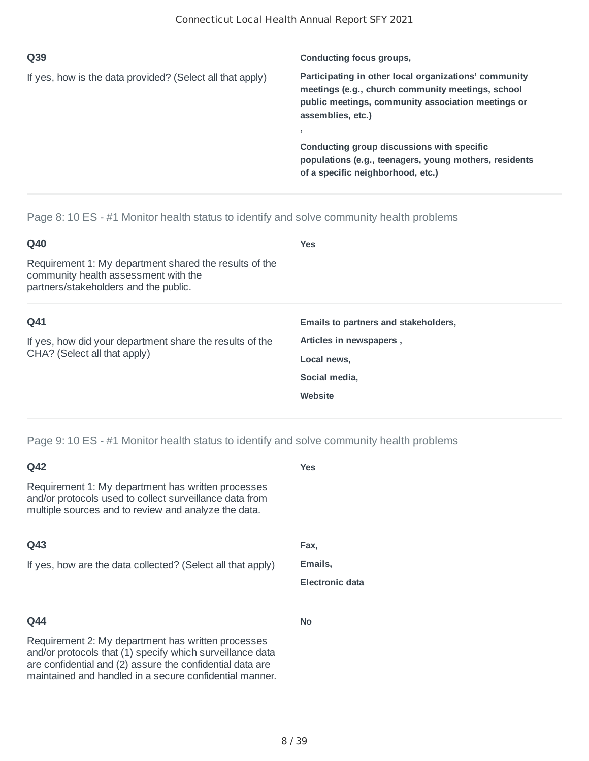| Q39                                                       | Conducting focus groups,                                                                                                                                                              |
|-----------------------------------------------------------|---------------------------------------------------------------------------------------------------------------------------------------------------------------------------------------|
| If yes, how is the data provided? (Select all that apply) | Participating in other local organizations' community<br>meetings (e.g., church community meetings, school<br>public meetings, community association meetings or<br>assemblies, etc.) |
|                                                           | Conducting group discussions with specific<br>populations (e.g., teenagers, young mothers, residents<br>of a specific neighborhood, etc.)                                             |

Page 8: 10 ES - #1 Monitor health status to identify and solve community health problems

| Q40                                                                                                                                     | <b>Yes</b>                           |
|-----------------------------------------------------------------------------------------------------------------------------------------|--------------------------------------|
| Requirement 1: My department shared the results of the<br>community health assessment with the<br>partners/stakeholders and the public. |                                      |
| Q41                                                                                                                                     | Emails to partners and stakeholders, |
| If yes, how did your department share the results of the<br>CHA? (Select all that apply)                                                | Articles in newspapers,              |
|                                                                                                                                         | Local news,                          |
|                                                                                                                                         | Social media,                        |
|                                                                                                                                         | Website                              |
|                                                                                                                                         |                                      |

Page 9: 10 ES - #1 Monitor health status to identify and solve community health problems

| Q42                                                                                                                                                                                                                                     | <b>Yes</b>             |
|-----------------------------------------------------------------------------------------------------------------------------------------------------------------------------------------------------------------------------------------|------------------------|
| Requirement 1: My department has written processes<br>and/or protocols used to collect surveillance data from<br>multiple sources and to review and analyze the data.                                                                   |                        |
| Q43                                                                                                                                                                                                                                     | Fax,                   |
| If yes, how are the data collected? (Select all that apply)                                                                                                                                                                             | Emails,                |
|                                                                                                                                                                                                                                         | <b>Electronic data</b> |
| Q44                                                                                                                                                                                                                                     | <b>No</b>              |
| Requirement 2: My department has written processes<br>and/or protocols that (1) specify which surveillance data<br>are confidential and (2) assure the confidential data are<br>maintained and handled in a secure confidential manner. |                        |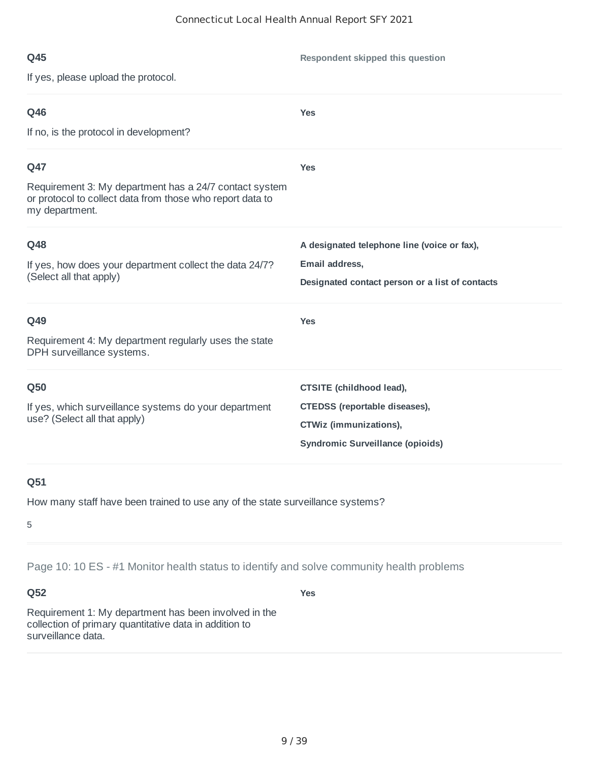**Respondent skipped this question**

If yes, please upload the protocol.

| Q46                                                                                                                                   | <b>Yes</b>                                                        |
|---------------------------------------------------------------------------------------------------------------------------------------|-------------------------------------------------------------------|
| If no, is the protocol in development?                                                                                                |                                                                   |
| Q47                                                                                                                                   | <b>Yes</b>                                                        |
| Requirement 3: My department has a 24/7 contact system<br>or protocol to collect data from those who report data to<br>my department. |                                                                   |
| Q48                                                                                                                                   | A designated telephone line (voice or fax),                       |
| If yes, how does your department collect the data 24/7?<br>(Select all that apply)                                                    | Email address,<br>Designated contact person or a list of contacts |
| Q49                                                                                                                                   | <b>Yes</b>                                                        |
| Requirement 4: My department regularly uses the state<br>DPH surveillance systems.                                                    |                                                                   |
| Q50                                                                                                                                   | CTSITE (childhood lead),                                          |
| If yes, which surveillance systems do your department<br>use? (Select all that apply)                                                 | <b>CTEDSS</b> (reportable diseases),                              |
|                                                                                                                                       | CTWiz (immunizations),<br><b>Syndromic Surveillance (opioids)</b> |
|                                                                                                                                       |                                                                   |

# **Q51**

How many staff have been trained to use any of the state surveillance systems?

5

Page 10: 10 ES - #1 Monitor health status to identify and solve community health problems

## **Q52**

**Yes**

Requirement 1: My department has been involved in the collection of primary quantitative data in addition to surveillance data.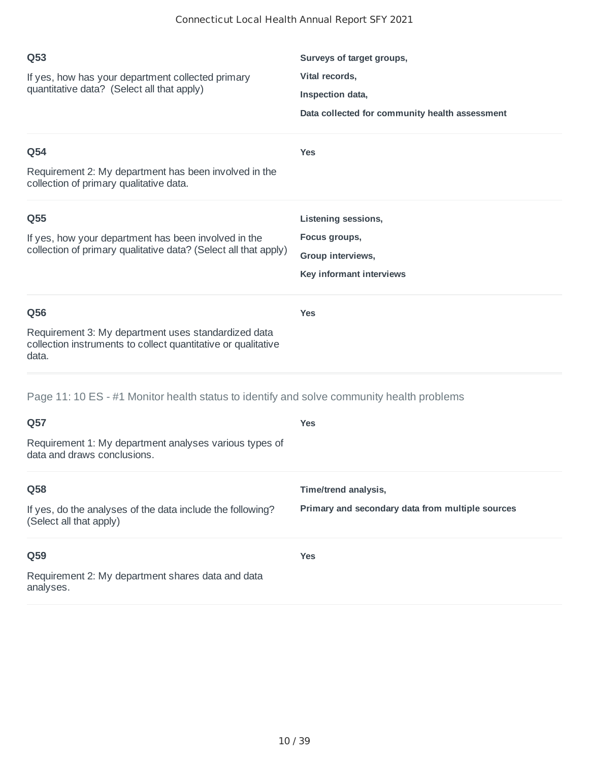| Q53<br>If yes, how has your department collected primary<br>quantitative data? (Select all that apply)<br>Q54<br>Requirement 2: My department has been involved in the<br>collection of primary qualitative data. | Surveys of target groups,<br>Vital records,<br>Inspection data,<br>Data collected for community health assessment<br><b>Yes</b> |
|-------------------------------------------------------------------------------------------------------------------------------------------------------------------------------------------------------------------|---------------------------------------------------------------------------------------------------------------------------------|
| Q55<br>If yes, how your department has been involved in the<br>collection of primary qualitative data? (Select all that apply)                                                                                    | Listening sessions,<br>Focus groups,<br>Group interviews,<br>Key informant interviews                                           |
| Q56<br>Requirement 3: My department uses standardized data<br>collection instruments to collect quantitative or qualitative<br>data.                                                                              | <b>Yes</b>                                                                                                                      |
| Page 11: 10 ES - #1 Monitor health status to identify and solve community health problems<br>Q57<br>Requirement 1: My department analyses various types of<br>data and draws conclusions.                         | <b>Yes</b>                                                                                                                      |
| Q58<br>If yes, do the analyses of the data include the following?<br>(Select all that apply)                                                                                                                      | Time/trend analysis,<br>Primary and secondary data from multiple sources                                                        |
| Q59<br>Requirement 2: My department shares data and data<br>analyses.                                                                                                                                             | <b>Yes</b>                                                                                                                      |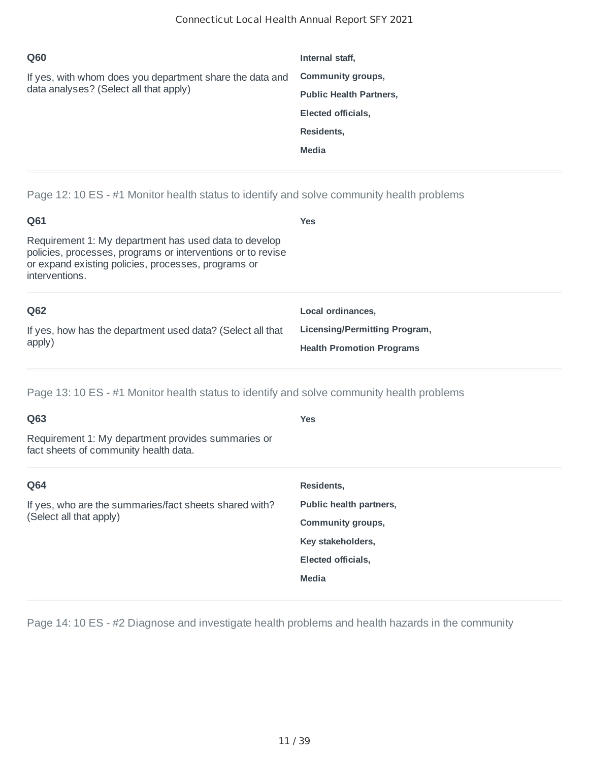| Q60                                                                                                | Internal staff,                |
|----------------------------------------------------------------------------------------------------|--------------------------------|
| If yes, with whom does you department share the data and<br>data analyses? (Select all that apply) | <b>Community groups,</b>       |
|                                                                                                    | <b>Public Health Partners,</b> |
|                                                                                                    | Elected officials,             |
|                                                                                                    | Residents,                     |
|                                                                                                    | <b>Media</b>                   |
|                                                                                                    |                                |

Page 12: 10 ES - #1 Monitor health status to identify and solve community health problems

| Q61                                                                                                                                                                                           | <b>Yes</b>                       |
|-----------------------------------------------------------------------------------------------------------------------------------------------------------------------------------------------|----------------------------------|
| Requirement 1: My department has used data to develop<br>policies, processes, programs or interventions or to revise<br>or expand existing policies, processes, programs or<br>interventions. |                                  |
| Q62                                                                                                                                                                                           | Local ordinances.                |
| If yes, how has the department used data? (Select all that                                                                                                                                    | Licensing/Permitting Program,    |
| apply)                                                                                                                                                                                        | <b>Health Promotion Programs</b> |

Page 13: 10 ES - #1 Monitor health status to identify and solve community health problems

| Q63                                                                                         | <b>Yes</b>               |
|---------------------------------------------------------------------------------------------|--------------------------|
| Requirement 1: My department provides summaries or<br>fact sheets of community health data. |                          |
| Q64                                                                                         | Residents,               |
| If yes, who are the summaries/fact sheets shared with?<br>(Select all that apply)           | Public health partners,  |
|                                                                                             | <b>Community groups,</b> |
|                                                                                             | Key stakeholders,        |
|                                                                                             | Elected officials,       |
|                                                                                             | Media                    |
|                                                                                             |                          |

Page 14: 10 ES - #2 Diagnose and investigate health problems and health hazards in the community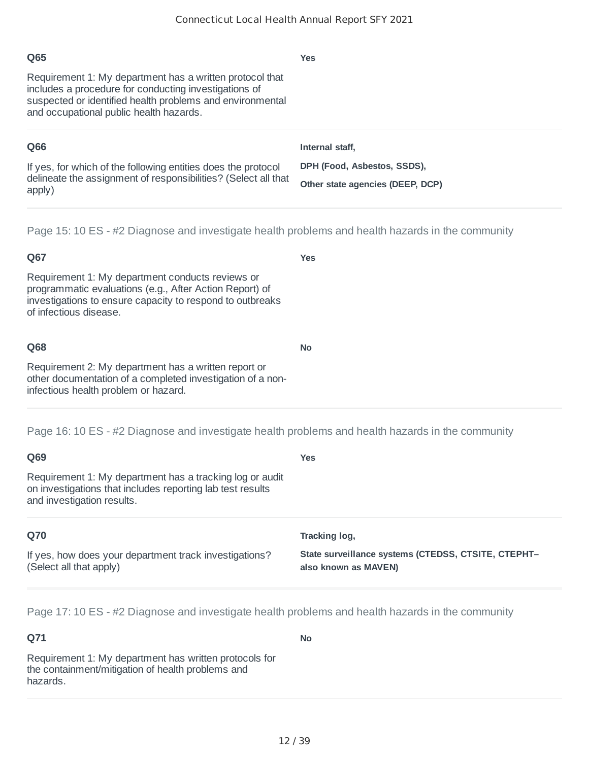| Q65                                                                                                                                                                                                                       | <b>Yes</b>                       |
|---------------------------------------------------------------------------------------------------------------------------------------------------------------------------------------------------------------------------|----------------------------------|
| Requirement 1: My department has a written protocol that<br>includes a procedure for conducting investigations of<br>suspected or identified health problems and environmental<br>and occupational public health hazards. |                                  |
| Q66                                                                                                                                                                                                                       | Internal staff.                  |
| If yes, for which of the following entities does the protocol<br>delineate the assignment of responsibilities? (Select all that<br>apply)                                                                                 | DPH (Food, Asbestos, SSDS),      |
|                                                                                                                                                                                                                           | Other state agencies (DEEP, DCP) |
|                                                                                                                                                                                                                           |                                  |

Page 15: 10 ES - #2 Diagnose and investigate health problems and health hazards in the community

## **Q67** Requirement 1: My department conducts reviews or programmatic evaluations (e.g., After Action Report) of investigations to ensure capacity to respond to outbreaks of infectious disease. **Yes Q68** Requirement 2: My department has a written report or other documentation of a completed investigation of a noninfectious health problem or hazard. **No**

Page 16: 10 ES - #2 Diagnose and investigate health problems and health hazards in the community

| Q69                                                                                                                                                  | <b>Yes</b>                                                                  |
|------------------------------------------------------------------------------------------------------------------------------------------------------|-----------------------------------------------------------------------------|
| Requirement 1: My department has a tracking log or audit<br>on investigations that includes reporting lab test results<br>and investigation results. |                                                                             |
| Q70                                                                                                                                                  | Tracking log,                                                               |
| If yes, how does your department track investigations?<br>(Select all that apply)                                                                    | State surveillance systems (CTEDSS, CTSITE, CTEPHT-<br>also known as MAVEN) |

Page 17: 10 ES - #2 Diagnose and investigate health problems and health hazards in the community

#### **Q71** Requirement 1: My department has written protocols for the containment/mitigation of health problems and hazards. **No**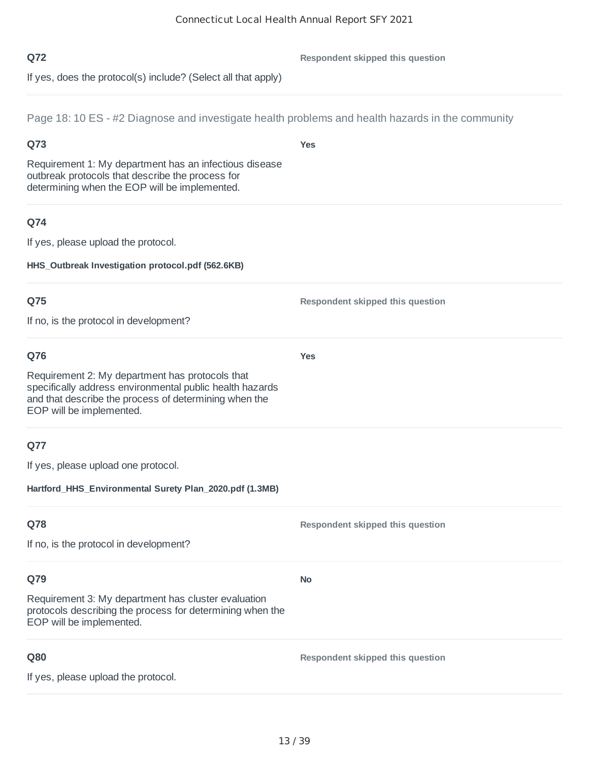**Yes**

**Yes**

#### **Q72**

**Respondent skipped this question**

If yes, does the protocol(s) include? (Select all that apply)

Page 18: 10 ES - #2 Diagnose and investigate health problems and health hazards in the community

## **Q73**

Requirement 1: My department has an infectious disease outbreak protocols that describe the process for determining when the EOP will be implemented.

## **Q74**

If yes, please upload the protocol.

**HHS\_Outbreak Investigation protocol.pdf (562.6KB)**

## **Q75**

If no, is the protocol in development?

## **Q76**

Requirement 2: My department has protocols that specifically address environmental public health hazards and that describe the process of determining when the EOP will be implemented.

## **Q77**

If yes, please upload one protocol.

**Hartford\_HHS\_Environmental Surety Plan\_2020.pdf (1.3MB)**

## **Q78**

**Respondent skipped this question**

**Respondent skipped this question**

If no, is the protocol in development?

# **Q79**

Requirement 3: My department has cluster evaluation protocols describing the process for determining when the EOP will be implemented.

## **Q80**

**Respondent skipped this question**

If yes, please upload the protocol.

**No**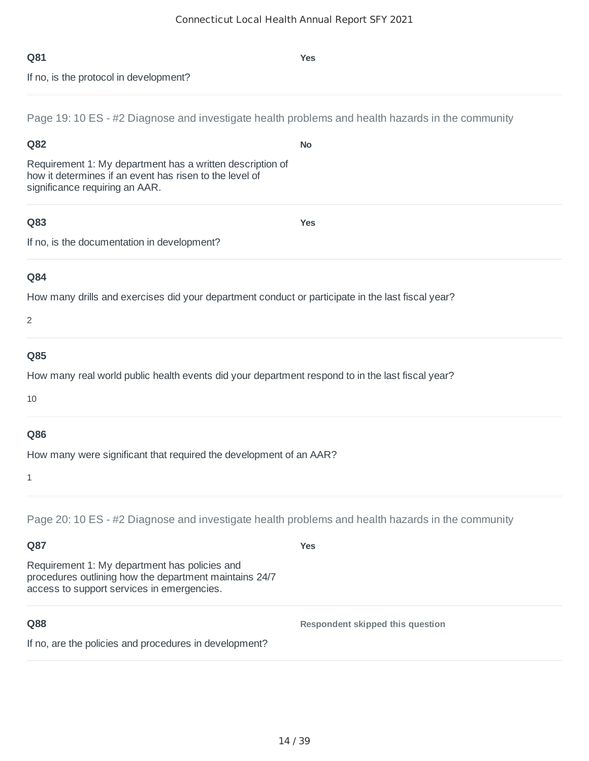| Page 19: 10 ES - #2 Diagnose and investigate health problems and health hazards in the community                                                                                                                                                                 |                                  |
|------------------------------------------------------------------------------------------------------------------------------------------------------------------------------------------------------------------------------------------------------------------|----------------------------------|
| Q82                                                                                                                                                                                                                                                              | <b>No</b>                        |
| Requirement 1: My department has a written description of<br>how it determines if an event has risen to the level of<br>significance requiring an AAR.                                                                                                           |                                  |
| Q83<br>If no, is the documentation in development?                                                                                                                                                                                                               | <b>Yes</b>                       |
| Q84<br>How many drills and exercises did your department conduct or participate in the last fiscal year?<br>2                                                                                                                                                    |                                  |
| Q85<br>How many real world public health events did your department respond to in the last fiscal year?<br>10                                                                                                                                                    |                                  |
| Q86<br>How many were significant that required the development of an AAR?<br>1                                                                                                                                                                                   |                                  |
| Page 20: 10 ES - #2 Diagnose and investigate health problems and health hazards in the community<br>Q87<br>Requirement 1: My department has policies and<br>procedures outlining how the department maintains 24/7<br>access to support services in emergencies. | <b>Yes</b>                       |
| Q88<br>If no, are the policies and procedures in development?                                                                                                                                                                                                    | Respondent skipped this question |
|                                                                                                                                                                                                                                                                  |                                  |

If no, is the protocol in development?

**Yes**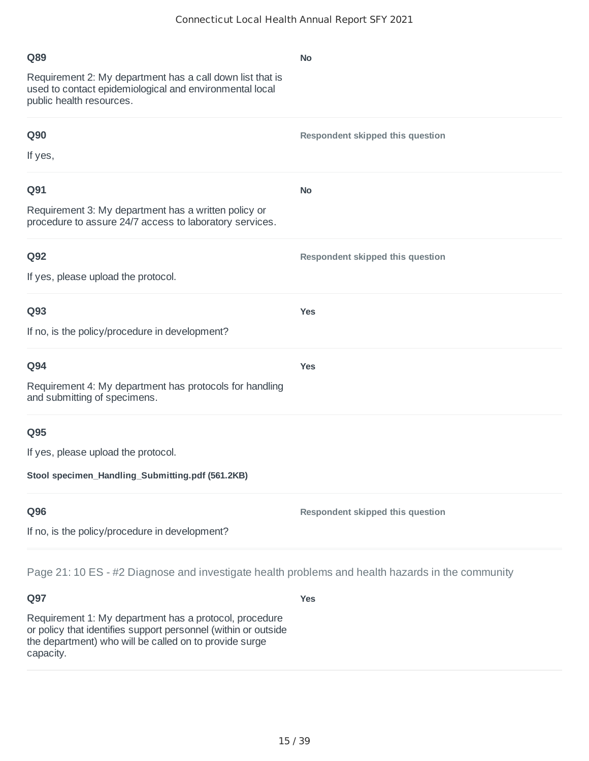| Q89                                                                                                                                              | <b>No</b>                               |
|--------------------------------------------------------------------------------------------------------------------------------------------------|-----------------------------------------|
| Requirement 2: My department has a call down list that is<br>used to contact epidemiological and environmental local<br>public health resources. |                                         |
| <b>Q90</b>                                                                                                                                       | <b>Respondent skipped this question</b> |
| If yes,                                                                                                                                          |                                         |
| Q91                                                                                                                                              | <b>No</b>                               |
| Requirement 3: My department has a written policy or<br>procedure to assure 24/7 access to laboratory services.                                  |                                         |
| Q92                                                                                                                                              | Respondent skipped this question        |
| If yes, please upload the protocol.                                                                                                              |                                         |
| Q93                                                                                                                                              | <b>Yes</b>                              |
| If no, is the policy/procedure in development?                                                                                                   |                                         |
| Q94                                                                                                                                              | <b>Yes</b>                              |
| Requirement 4: My department has protocols for handling<br>and submitting of specimens.                                                          |                                         |
| Q95                                                                                                                                              |                                         |
| If yes, please upload the protocol.                                                                                                              |                                         |
| Stool specimen_Handling_Submitting.pdf (561.2KB)                                                                                                 |                                         |
| Q96                                                                                                                                              | Respondent skipped this question        |
| If no, is the policy/procedure in development?                                                                                                   |                                         |
| Page 21: 10 ES - #2 Diagnose and investigate health problems and health hazards in the community                                                 |                                         |

Requirement 1: My department has a protocol, procedure or policy that identifies support personnel (within or outside the department) who will be called on to provide surge capacity.

**Yes**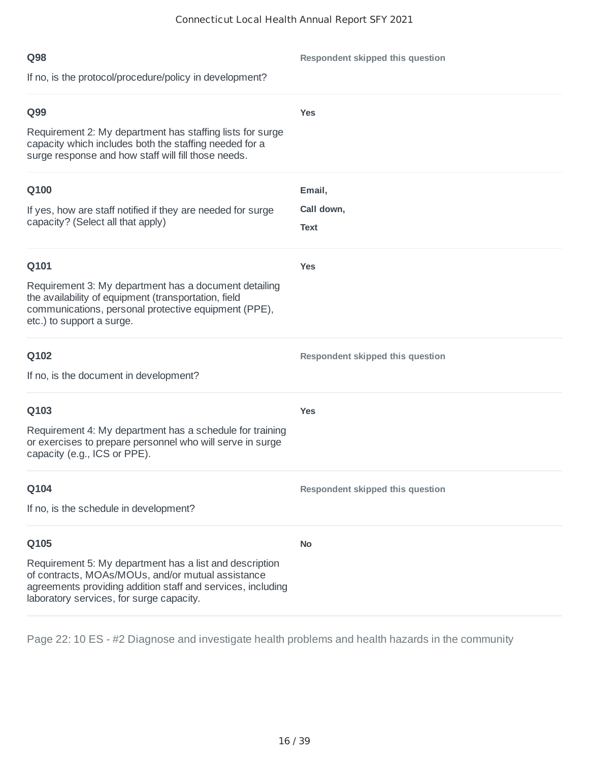| Q98<br>If no, is the protocol/procedure/policy in development?                                                                                                                                                                  | Respondent skipped this question |
|---------------------------------------------------------------------------------------------------------------------------------------------------------------------------------------------------------------------------------|----------------------------------|
| Q99<br>Requirement 2: My department has staffing lists for surge<br>capacity which includes both the staffing needed for a<br>surge response and how staff will fill those needs.                                               | <b>Yes</b>                       |
| Q100<br>If yes, how are staff notified if they are needed for surge<br>capacity? (Select all that apply)                                                                                                                        | Email,<br>Call down,<br>Text     |
| Q101<br>Requirement 3: My department has a document detailing<br>the availability of equipment (transportation, field<br>communications, personal protective equipment (PPE),<br>etc.) to support a surge.                      | <b>Yes</b>                       |
| Q102<br>If no, is the document in development?                                                                                                                                                                                  | Respondent skipped this question |
| Q103<br>Requirement 4: My department has a schedule for training<br>or exercises to prepare personnel who will serve in surge<br>capacity (e.g., ICS or PPE).                                                                   | <b>Yes</b>                       |
| Q104<br>If no, is the schedule in development?                                                                                                                                                                                  | Respondent skipped this question |
| Q105<br>Requirement 5: My department has a list and description<br>of contracts, MOAs/MOUs, and/or mutual assistance<br>agreements providing addition staff and services, including<br>laboratory services, for surge capacity. | <b>No</b>                        |

Page 22: 10 ES - #2 Diagnose and investigate health problems and health hazards in the community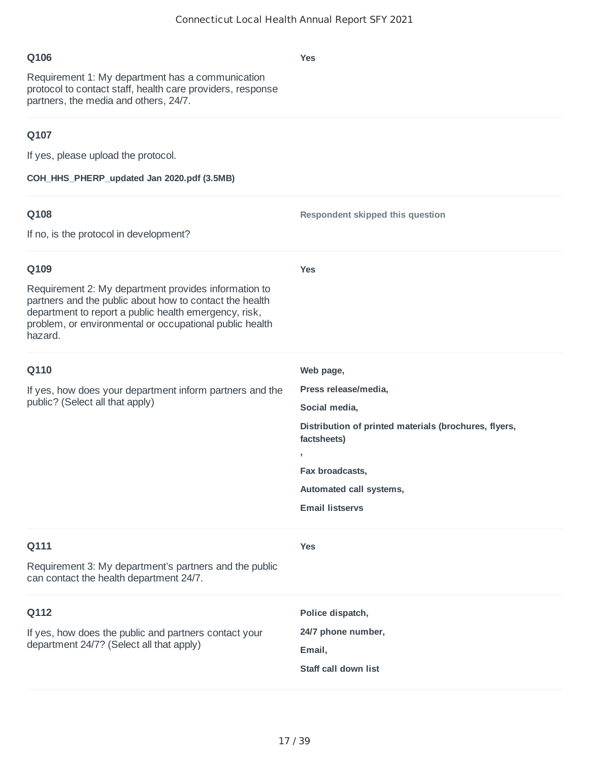**Yes**

**Yes**

**Web page,**

**Social media,**

**factsheets)**

**Fax broadcasts,**

**Email listservs**

**Automated call systems,**

**,**

**Press release/media,**

**Distribution of printed materials (brochures, flyers,**

**Respondent skipped this question**

Requirement 1: My department has a communication protocol to contact staff, health care providers, response partners, the media and others, 24/7.

#### **Q107**

If yes, please upload the protocol.

**COH\_HHS\_PHERP\_updated Jan 2020.pdf (3.5MB)**

#### **Q108**

If no, is the protocol in development?

#### **Q109**

Requirement 2: My department provides information to partners and the public about how to contact the health department to report a public health emergency, risk, problem, or environmental or occupational public health hazard.

#### **Q110**

If yes, how does your department inform partners and the public? (Select all that apply)

# **Q111**

**Yes**

Requirement 3: My department's partners and the public can contact the health department 24/7.

| 0112                                                                                              | Police dispatch,     |
|---------------------------------------------------------------------------------------------------|----------------------|
| If yes, how does the public and partners contact your<br>department 24/7? (Select all that apply) | 24/7 phone number,   |
|                                                                                                   | Email,               |
|                                                                                                   | Staff call down list |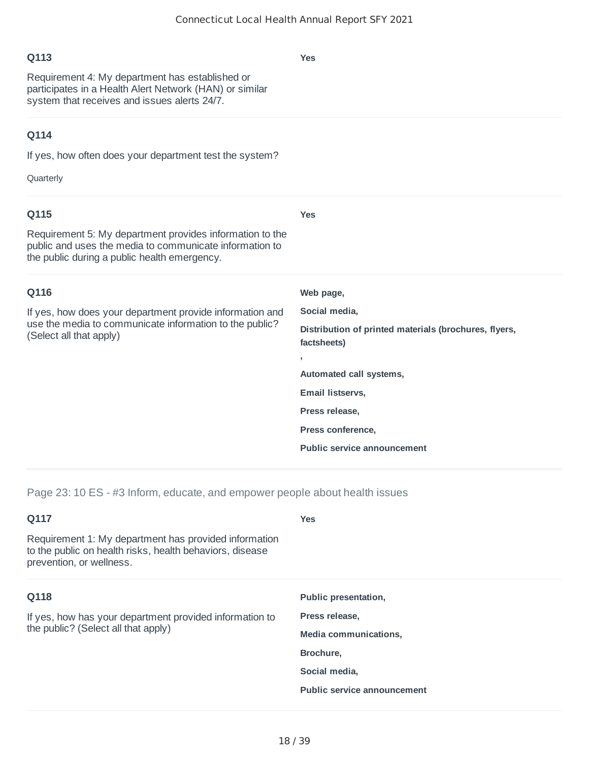**Yes**

# **Q113**

Requirement 4: My department has established or participates in a Health Alert Network (HAN) or similar system that receives and issues alerts 24/7.

## **Q114**

If yes, how often does your department test the system?

Quarterly

| <b>Yes</b>                                                           |
|----------------------------------------------------------------------|
|                                                                      |
| Web page,                                                            |
| Social media,                                                        |
| Distribution of printed materials (brochures, flyers,<br>factsheets) |
| $\mathbf{r}$                                                         |
| Automated call systems,                                              |
| Email listservs,                                                     |
| Press release,                                                       |
| Press conference,                                                    |
| <b>Public service announcement</b>                                   |
|                                                                      |

Page 23: 10 ES - #3 Inform, educate, and empower people about health issues

| Q117                                                                                                                                          | <b>Yes</b>                         |
|-----------------------------------------------------------------------------------------------------------------------------------------------|------------------------------------|
| Requirement 1: My department has provided information<br>to the public on health risks, health behaviors, disease<br>prevention, or wellness. |                                    |
| Q118                                                                                                                                          | Public presentation,               |
| If yes, how has your department provided information to<br>the public? (Select all that apply)                                                | Press release,                     |
|                                                                                                                                               | Media communications,              |
|                                                                                                                                               | Brochure,                          |
|                                                                                                                                               | Social media,                      |
|                                                                                                                                               | <b>Public service announcement</b> |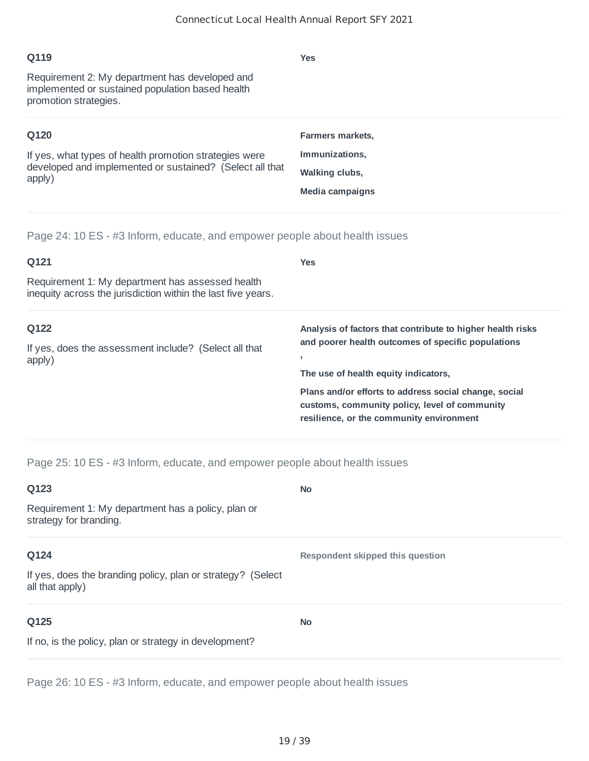| Q119                                                                                                                         | <b>Yes</b>              |
|------------------------------------------------------------------------------------------------------------------------------|-------------------------|
| Requirement 2: My department has developed and<br>implemented or sustained population based health<br>promotion strategies.  |                         |
| Q120                                                                                                                         | <b>Farmers markets.</b> |
| If yes, what types of health promotion strategies were<br>developed and implemented or sustained? (Select all that<br>apply) | Immunizations,          |
|                                                                                                                              | Walking clubs,          |
|                                                                                                                              | Media campaigns         |

Page 24: 10 ES - #3 Inform, educate, and empower people about health issues

| Q121                                                                                                             | <b>Yes</b>                                                                                                                                                     |
|------------------------------------------------------------------------------------------------------------------|----------------------------------------------------------------------------------------------------------------------------------------------------------------|
| Requirement 1: My department has assessed health<br>inequity across the jurisdiction within the last five years. |                                                                                                                                                                |
| Q122<br>If yes, does the assessment include? (Select all that<br>apply)                                          | Analysis of factors that contribute to higher health risks<br>and poorer health outcomes of specific populations<br>л,<br>The use of health equity indicators, |
|                                                                                                                  | Plans and/or efforts to address social change, social<br>customs, community policy, level of community<br>resilience, or the community environment             |

Page 25: 10 ES - #3 Inform, educate, and empower people about health issues

| Q123                                                                           | <b>No</b>                        |
|--------------------------------------------------------------------------------|----------------------------------|
| Requirement 1: My department has a policy, plan or<br>strategy for branding.   |                                  |
| Q124                                                                           | Respondent skipped this question |
| If yes, does the branding policy, plan or strategy? (Select<br>all that apply) |                                  |
| Q125                                                                           | <b>No</b>                        |
| If no, is the policy, plan or strategy in development?                         |                                  |

Page 26: 10 ES - #3 Inform, educate, and empower people about health issues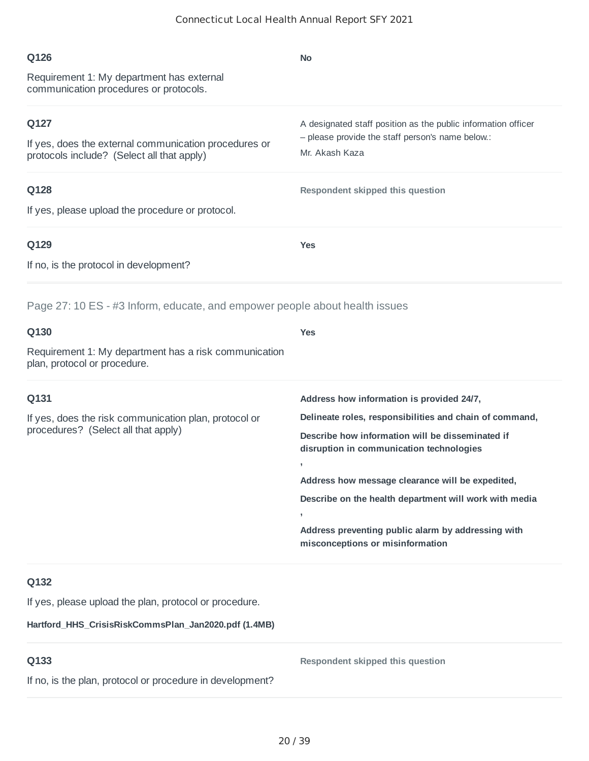| Q126                                                                                                | No                                                                                           |
|-----------------------------------------------------------------------------------------------------|----------------------------------------------------------------------------------------------|
| Requirement 1: My department has external<br>communication procedures or protocols.                 |                                                                                              |
| Q127                                                                                                | A designated staff position as the public information officer                                |
| If yes, does the external communication procedures or<br>protocols include? (Select all that apply) | - please provide the staff person's name below.:<br>Mr. Akash Kaza                           |
| Q128                                                                                                | Respondent skipped this question                                                             |
| If yes, please upload the procedure or protocol.                                                    |                                                                                              |
| Q129                                                                                                | <b>Yes</b>                                                                                   |
| If no, is the protocol in development?                                                              |                                                                                              |
| Page 27: 10 ES - #3 Inform, educate, and empower people about health issues                         |                                                                                              |
| Q130                                                                                                | <b>Yes</b>                                                                                   |
| Requirement 1: My department has a risk communication<br>plan, protocol or procedure.               |                                                                                              |
| Q131                                                                                                | Address how information is provided 24/7,                                                    |
| If yes, does the risk communication plan, protocol or                                               | Delineate roles, responsibilities and chain of command,                                      |
| procedures? (Select all that apply)                                                                 | Describe how information will be disseminated if<br>disruption in communication technologies |
|                                                                                                     | ,<br>Address how message clearance will be expedited,                                        |
|                                                                                                     | Describe on the health department will work with media                                       |
|                                                                                                     | Address preventing public alarm by addressing with<br>misconceptions or misinformation       |
| Q132                                                                                                |                                                                                              |
| If yes, please upload the plan, protocol or procedure.                                              |                                                                                              |
| Hartford_HHS_CrisisRiskCommsPlan_Jan2020.pdf (1.4MB)                                                |                                                                                              |
|                                                                                                     |                                                                                              |

If no, is the plan, protocol or procedure in development?

**Respondent skipped this question**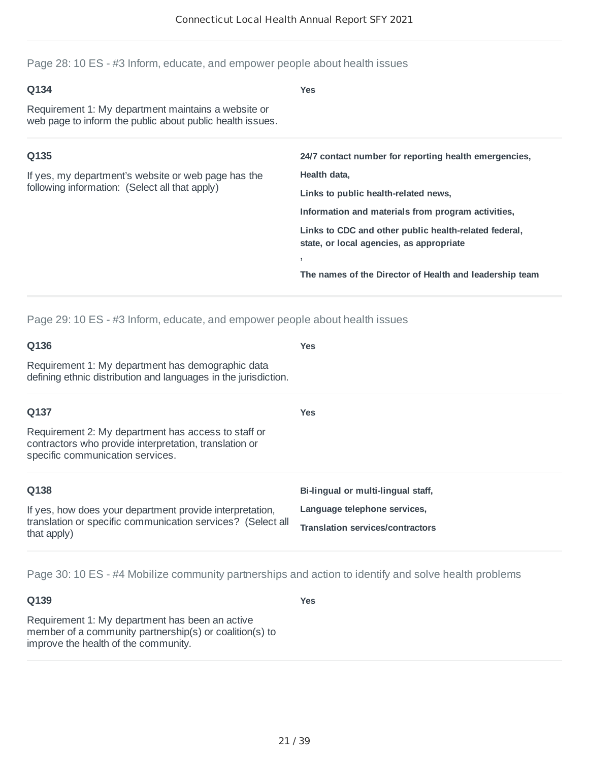Page 28: 10 ES - #3 Inform, educate, and empower people about health issues

| Q134<br>Requirement 1: My department maintains a website or<br>web page to inform the public about public health issues. | <b>Yes</b>                                                                                                                                                                                                                                                                                                                               |
|--------------------------------------------------------------------------------------------------------------------------|------------------------------------------------------------------------------------------------------------------------------------------------------------------------------------------------------------------------------------------------------------------------------------------------------------------------------------------|
| Q135<br>If yes, my department's website or web page has the<br>following information: (Select all that apply)            | 24/7 contact number for reporting health emergencies,<br>Health data,<br>Links to public health-related news,<br>Information and materials from program activities,<br>Links to CDC and other public health-related federal,<br>state, or local agencies, as appropriate<br>٠<br>The names of the Director of Health and leadership team |

Page 29: 10 ES - #3 Inform, educate, and empower people about health issues

| Q136                                                                                                                                              | <b>Yes</b>                              |
|---------------------------------------------------------------------------------------------------------------------------------------------------|-----------------------------------------|
| Requirement 1: My department has demographic data<br>defining ethnic distribution and languages in the jurisdiction.                              |                                         |
| Q137                                                                                                                                              | <b>Yes</b>                              |
| Requirement 2: My department has access to staff or<br>contractors who provide interpretation, translation or<br>specific communication services. |                                         |
| Q138                                                                                                                                              | Bi-lingual or multi-lingual staff,      |
| If yes, how does your department provide interpretation,<br>translation or specific communication services? (Select all<br>that apply)            | Language telephone services,            |
|                                                                                                                                                   | <b>Translation services/contractors</b> |

Page 30: 10 ES - #4 Mobilize community partnerships and action to identify and solve health problems

**Q139**

**Yes**

Requirement 1: My department has been an active member of a community partnership(s) or coalition(s) to improve the health of the community.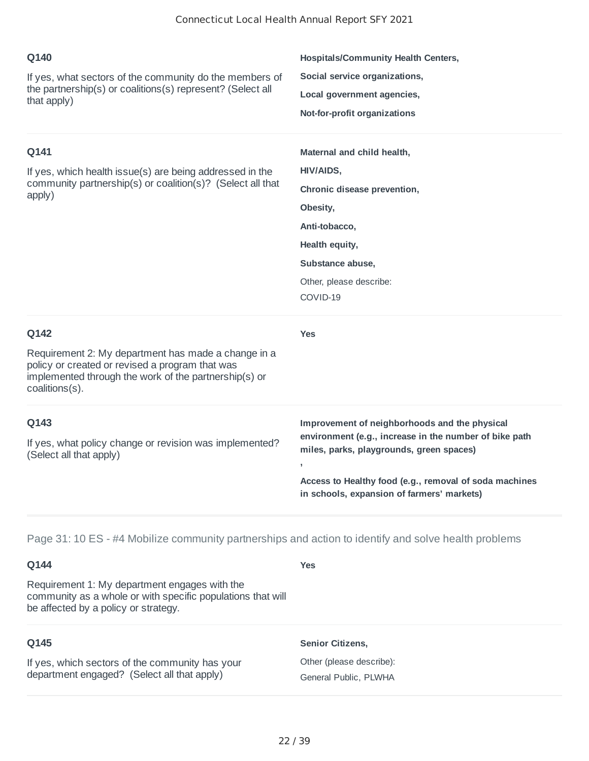| Q140<br>If yes, what sectors of the community do the members of<br>the partnership(s) or coalitions(s) represent? (Select all<br>that apply)                                              | <b>Hospitals/Community Health Centers,</b><br>Social service organizations,<br>Local government agencies,<br>Not-for-profit organizations                                                                                                                         |
|-------------------------------------------------------------------------------------------------------------------------------------------------------------------------------------------|-------------------------------------------------------------------------------------------------------------------------------------------------------------------------------------------------------------------------------------------------------------------|
| Q141<br>If yes, which health issue(s) are being addressed in the<br>community partnership(s) or coalition(s)? (Select all that<br>apply)                                                  | Maternal and child health,<br>HIV/AIDS,<br>Chronic disease prevention,<br>Obesity,<br>Anti-tobacco,<br>Health equity,<br>Substance abuse,<br>Other, please describe:<br>COVID-19                                                                                  |
| Q142<br>Requirement 2: My department has made a change in a<br>policy or created or revised a program that was<br>implemented through the work of the partnership(s) or<br>coalitions(s). | <b>Yes</b>                                                                                                                                                                                                                                                        |
| Q143<br>If yes, what policy change or revision was implemented?<br>(Select all that apply)                                                                                                | Improvement of neighborhoods and the physical<br>environment (e.g., increase in the number of bike path<br>miles, parks, playgrounds, green spaces)<br>J.<br>Access to Healthy food (e.g., removal of soda machines<br>in schools, expansion of farmers' markets) |

Page 31: 10 ES - #4 Mobilize community partnerships and action to identify and solve health problems

## **Q144**

Requirement 1: My department engages with the community as a whole or with specific populations that will be affected by a policy or strategy.

#### **Q145**

If yes, which sectors of the community has your department engaged? (Select all that apply)

# **Senior Citizens,**

**Yes**

Other (please describe): General Public, PLWHA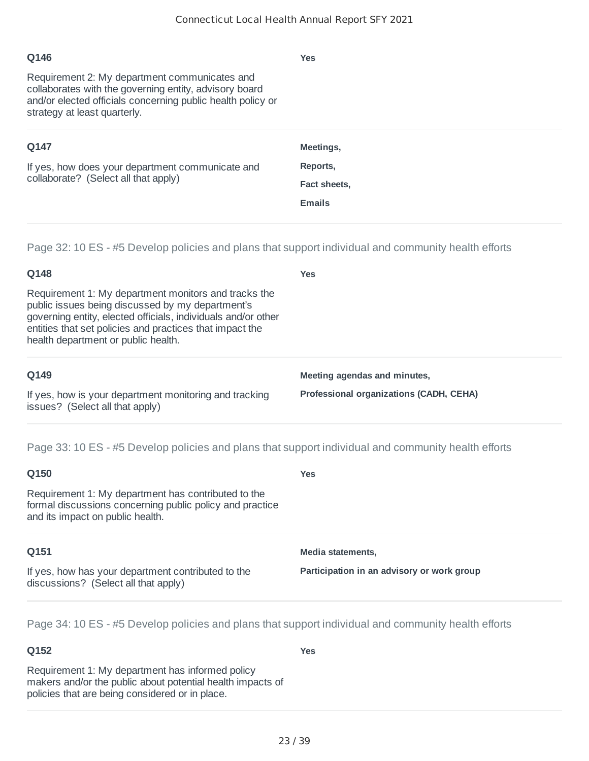# **Q146** Requirement 2: My department communicates and collaborates with the governing entity, advisory board and/or elected officials concerning public health policy or strategy at least quarterly. **Yes Q147** If yes, how does your department communicate and collaborate? (Select all that apply) **Meetings, Reports, Fact sheets, Emails**

Page 32: 10 ES - #5 Develop policies and plans that support individual and community health efforts

**Yes**

## **Q148**

Requirement 1: My department monitors and tracks the public issues being discussed by my department's governing entity, elected officials, individuals and/or other entities that set policies and practices that impact the health department or public health.

#### **Q149**

If yes, how is your department monitoring and tracking issues? (Select all that apply)

**Meeting agendas and minutes,**

**Professional organizations (CADH, CEHA)**

Page 33: 10 ES - #5 Develop policies and plans that support individual and community health efforts

| Q150                                                                                                                                                | Yes                                        |
|-----------------------------------------------------------------------------------------------------------------------------------------------------|--------------------------------------------|
| Requirement 1: My department has contributed to the<br>formal discussions concerning public policy and practice<br>and its impact on public health. |                                            |
| Q151                                                                                                                                                | Media statements,                          |
| If yes, how has your department contributed to the<br>discussions? (Select all that apply)                                                          | Participation in an advisory or work group |

Page 34: 10 ES - #5 Develop policies and plans that support individual and community health efforts

## **Q152**

**Yes**

Requirement 1: My department has informed policy makers and/or the public about potential health impacts of policies that are being considered or in place.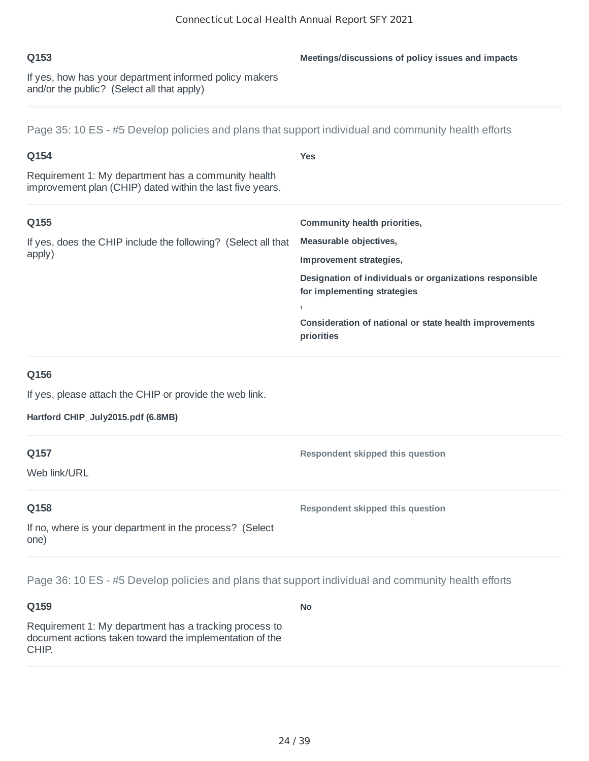If yes, how has your department informed policy makers and/or the public? (Select all that apply)

## Page 35: 10 ES - #5 Develop policies and plans that support individual and community health efforts

| <b>Yes</b>                                                                                             |
|--------------------------------------------------------------------------------------------------------|
|                                                                                                        |
| Community health priorities,                                                                           |
| Measurable objectives,<br>If yes, does the CHIP include the following? (Select all that                |
| Improvement strategies,                                                                                |
| Designation of individuals or organizations responsible<br>for implementing strategies<br>$\mathbf{r}$ |
| Consideration of national or state health improvements<br>priorities                                   |
|                                                                                                        |
|                                                                                                        |
|                                                                                                        |
| Respondent skipped this question                                                                       |
|                                                                                                        |
| Respondent skipped this question                                                                       |
|                                                                                                        |
|                                                                                                        |

Page 36: 10 ES - #5 Develop policies and plans that support individual and community health efforts

#### **Q159**

Requirement 1: My department has a tracking process to document actions taken toward the implementation of the CHIP.

**No**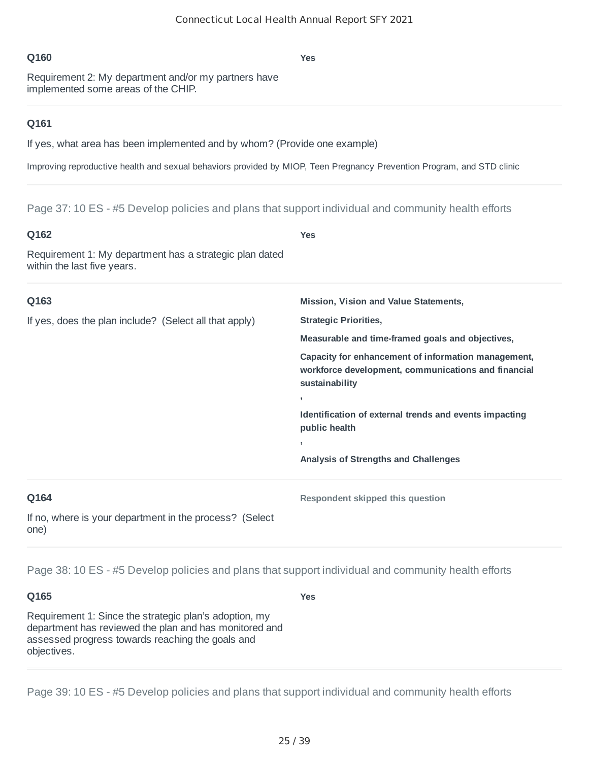**Yes**

Requirement 2: My department and/or my partners have implemented some areas of the CHIP.

#### **Q161**

If yes, what area has been implemented and by whom? (Provide one example)

Improving reproductive health and sexual behaviors provided by MIOP, Teen Pregnancy Prevention Program, and STD clinic

Page 37: 10 ES - #5 Develop policies and plans that support individual and community health efforts

| Q162                                                                                   | <b>Yes</b>                                                                                                                   |
|----------------------------------------------------------------------------------------|------------------------------------------------------------------------------------------------------------------------------|
| Requirement 1: My department has a strategic plan dated<br>within the last five years. |                                                                                                                              |
| Q163                                                                                   | Mission, Vision and Value Statements,                                                                                        |
| If yes, does the plan include? (Select all that apply)                                 | <b>Strategic Priorities,</b>                                                                                                 |
|                                                                                        | Measurable and time-framed goals and objectives,                                                                             |
|                                                                                        | Capacity for enhancement of information management,<br>workforce development, communications and financial<br>sustainability |
|                                                                                        | $\overline{1}$                                                                                                               |
|                                                                                        | Identification of external trends and events impacting<br>public health                                                      |
|                                                                                        | $\,$                                                                                                                         |
|                                                                                        | Analysis of Strengths and Challenges                                                                                         |
| Q164                                                                                   | Respondent skipped this question                                                                                             |
| If no, where is your department in the process? (Select<br>one)                        |                                                                                                                              |

Page 38: 10 ES - #5 Develop policies and plans that support individual and community health efforts

**Q165**

**Yes**

Requirement 1: Since the strategic plan's adoption, my department has reviewed the plan and has monitored and assessed progress towards reaching the goals and objectives.

Page 39: 10 ES - #5 Develop policies and plans that support individual and community health efforts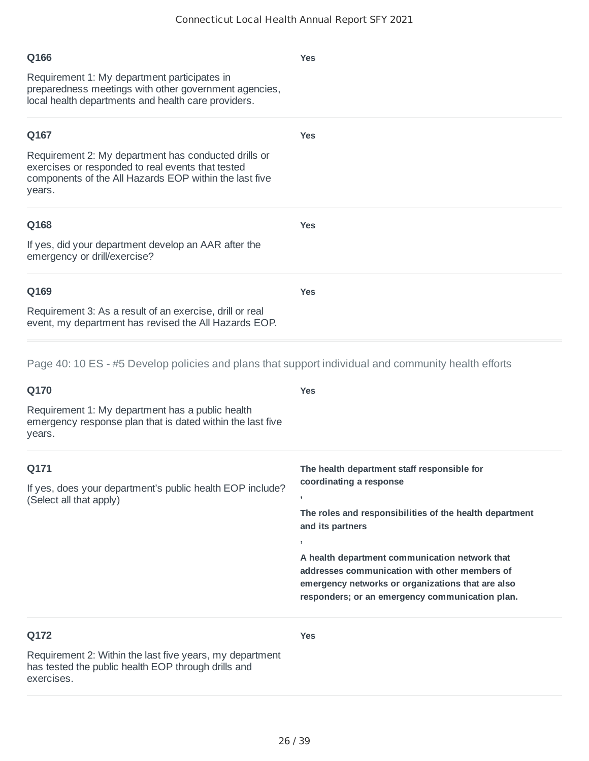**Yes**

**Yes**

**Yes**

**Yes**

#### **Q166**

Requirement 1: My department participates in preparedness meetings with other government agencies, local health departments and health care providers.

#### **Q167**

Requirement 2: My department has conducted drills or exercises or responded to real events that tested components of the All Hazards EOP within the last five years.

#### **Q168**

If yes, did your department develop an AAR after the emergency or drill/exercise?

#### **Q169**

Requirement 3: As a result of an exercise, drill or real event, my department has revised the All Hazards EOP.

Page 40: 10 ES - #5 Develop policies and plans that support individual and community health efforts

| Q170                                                                                                                          | <b>Yes</b>                                                                                                                                                                                                                                                                                                                                                                                           |
|-------------------------------------------------------------------------------------------------------------------------------|------------------------------------------------------------------------------------------------------------------------------------------------------------------------------------------------------------------------------------------------------------------------------------------------------------------------------------------------------------------------------------------------------|
| Requirement 1: My department has a public health<br>emergency response plan that is dated within the last five<br>years.      |                                                                                                                                                                                                                                                                                                                                                                                                      |
| Q171<br>If yes, does your department's public health EOP include?<br>(Select all that apply)                                  | The health department staff responsible for<br>coordinating a response<br>$\overline{1}$<br>The roles and responsibilities of the health department<br>and its partners<br>$\overline{1}$<br>A health department communication network that<br>addresses communication with other members of<br>emergency networks or organizations that are also<br>responders; or an emergency communication plan. |
| Q172                                                                                                                          | <b>Yes</b>                                                                                                                                                                                                                                                                                                                                                                                           |
| Requirement 2: Within the last five years, my department<br>has tested the public health EOP through drills and<br>exercises. |                                                                                                                                                                                                                                                                                                                                                                                                      |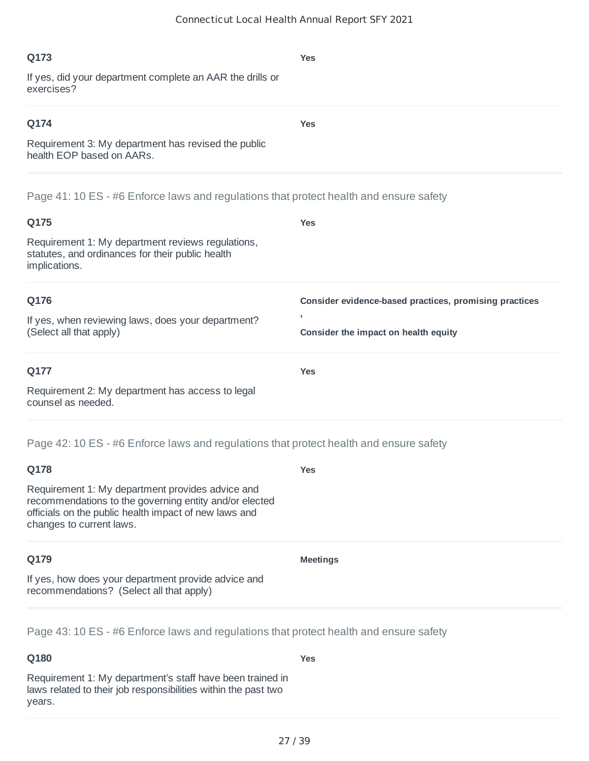**Yes**

**Yes**

#### **Q173**

If yes, did your department complete an AAR the drills or exercises?

## **Q174**

Requirement 3: My department has revised the public health EOP based on AARs.

Page 41: 10 ES - #6 Enforce laws and regulations that protect health and ensure safety

| Q175                                                                                                                   | <b>Yes</b>                                             |
|------------------------------------------------------------------------------------------------------------------------|--------------------------------------------------------|
| Requirement 1: My department reviews regulations,<br>statutes, and ordinances for their public health<br>implications. |                                                        |
| Q176                                                                                                                   | Consider evidence-based practices, promising practices |
| If yes, when reviewing laws, does your department?                                                                     | ,                                                      |
| (Select all that apply)                                                                                                | Consider the impact on health equity                   |
| Q177                                                                                                                   | <b>Yes</b>                                             |
| Requirement 2: My department has access to legal<br>counsel as needed.                                                 |                                                        |

Page 42: 10 ES - #6 Enforce laws and regulations that protect health and ensure safety

| Q178                                                                                                                                                                                            | <b>Yes</b>      |
|-------------------------------------------------------------------------------------------------------------------------------------------------------------------------------------------------|-----------------|
| Requirement 1: My department provides advice and<br>recommendations to the governing entity and/or elected<br>officials on the public health impact of new laws and<br>changes to current laws. |                 |
| Q179                                                                                                                                                                                            | <b>Meetings</b> |
| If yes, how does your department provide advice and<br>recommendations? (Select all that apply)                                                                                                 |                 |

Page 43: 10 ES - #6 Enforce laws and regulations that protect health and ensure safety

## **Q180**

**Yes**

Requirement 1: My department's staff have been trained in laws related to their job responsibilities within the past two years.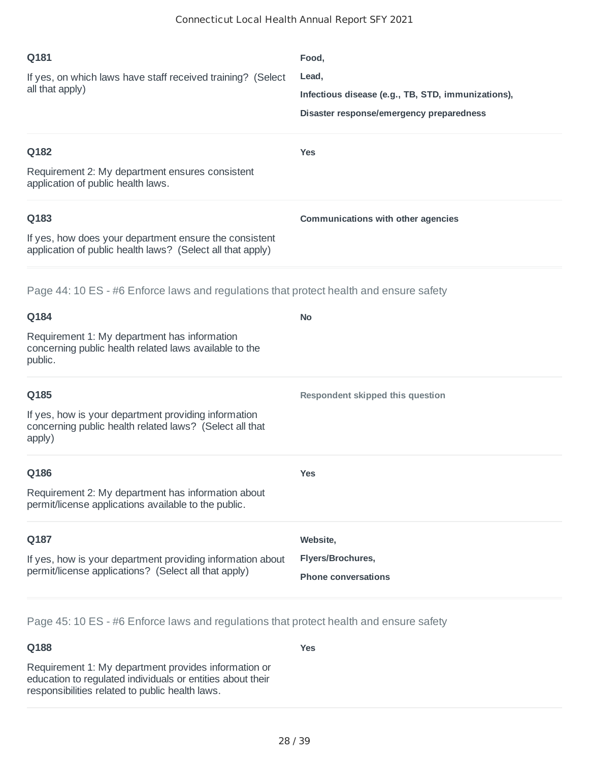| Q181<br>If yes, on which laws have staff received training? (Select<br>all that apply)                                       | Food,<br>Lead,<br>Infectious disease (e.g., TB, STD, immunizations),<br>Disaster response/emergency preparedness |
|------------------------------------------------------------------------------------------------------------------------------|------------------------------------------------------------------------------------------------------------------|
| Q182<br>Requirement 2: My department ensures consistent<br>application of public health laws.                                | <b>Yes</b>                                                                                                       |
| Q183<br>If yes, how does your department ensure the consistent<br>application of public health laws? (Select all that apply) | <b>Communications with other agencies</b>                                                                        |
| Page 44: 10 ES - #6 Enforce laws and regulations that protect health and ensure safety                                       |                                                                                                                  |
| Q184                                                                                                                         | <b>No</b>                                                                                                        |
| Requirement 1: My department has information<br>concerning public health related laws available to the<br>public.            |                                                                                                                  |
| Q185                                                                                                                         | Respondent skipped this question                                                                                 |
| If yes, how is your department providing information<br>concerning public health related laws? (Select all that<br>apply)    |                                                                                                                  |
| Q186                                                                                                                         | <b>Yes</b>                                                                                                       |
| Requirement 2: My department has information about<br>permit/license applications available to the public.                   |                                                                                                                  |
| Q187                                                                                                                         | Website,                                                                                                         |
| If yes, how is your department providing information about<br>permit/license applications? (Select all that apply)           | Flyers/Brochures,<br><b>Phone conversations</b>                                                                  |

Page 45: 10 ES - #6 Enforce laws and regulations that protect health and ensure safety

# **Q188**

**Yes**

Requirement 1: My department provides information or education to regulated individuals or entities about their responsibilities related to public health laws.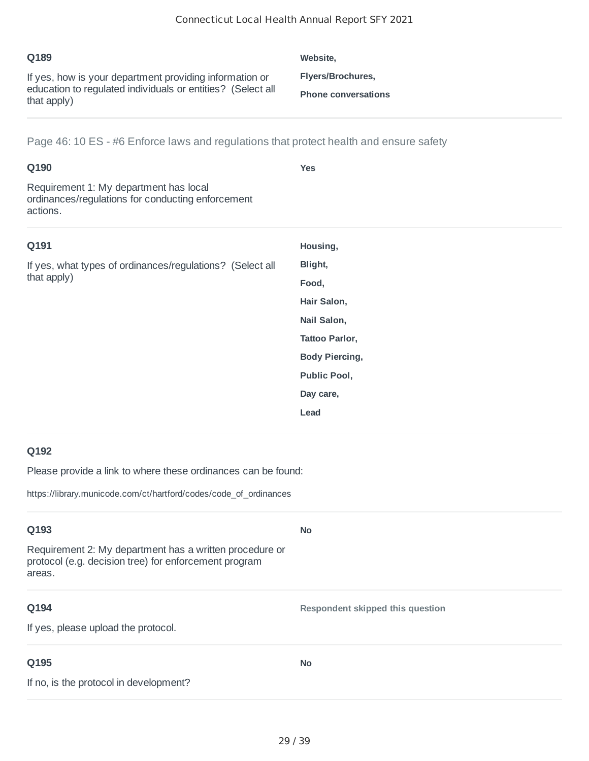| Q189                                                                                                                                  | Website.                                        |
|---------------------------------------------------------------------------------------------------------------------------------------|-------------------------------------------------|
| If yes, how is your department providing information or<br>education to regulated individuals or entities? (Select all<br>that apply) | Flyers/Brochures,<br><b>Phone conversations</b> |

Page 46: 10 ES - #6 Enforce laws and regulations that protect health and ensure safety

| Q190<br>Requirement 1: My department has local<br>ordinances/regulations for conducting enforcement<br>actions. | <b>Yes</b>            |
|-----------------------------------------------------------------------------------------------------------------|-----------------------|
| Q191                                                                                                            | Housing,              |
| If yes, what types of ordinances/regulations? (Select all                                                       | Blight,               |
| that apply)                                                                                                     | Food,                 |
|                                                                                                                 | Hair Salon,           |
|                                                                                                                 | Nail Salon,           |
|                                                                                                                 | Tattoo Parlor,        |
|                                                                                                                 | <b>Body Piercing,</b> |
|                                                                                                                 | Public Pool,          |
|                                                                                                                 | Day care,             |
|                                                                                                                 | Lead                  |

## **Q192**

Please provide a link to where these ordinances can be found:

https://library.municode.com/ct/hartford/codes/code\_of\_ordinances

| Q193                                                                                                                       | <b>No</b>                        |
|----------------------------------------------------------------------------------------------------------------------------|----------------------------------|
| Requirement 2: My department has a written procedure or<br>protocol (e.g. decision tree) for enforcement program<br>areas. |                                  |
| Q194                                                                                                                       | Respondent skipped this question |
| If yes, please upload the protocol.                                                                                        |                                  |
| Q195                                                                                                                       | <b>No</b>                        |
| If no, is the protocol in development?                                                                                     |                                  |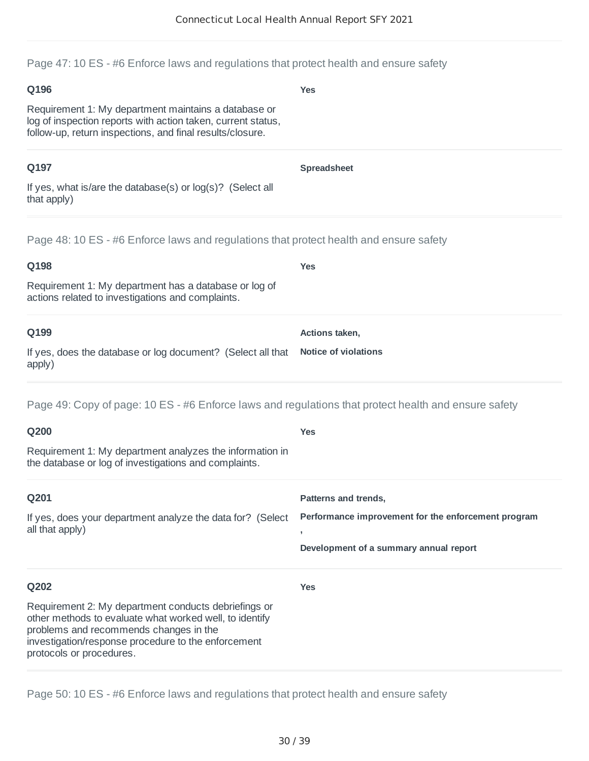Page 47: 10 ES - #6 Enforce laws and regulations that protect health and ensure safety

| Q196                                                                                                                                                                              | <b>Yes</b>         |
|-----------------------------------------------------------------------------------------------------------------------------------------------------------------------------------|--------------------|
| Requirement 1: My department maintains a database or<br>log of inspection reports with action taken, current status,<br>follow-up, return inspections, and final results/closure. |                    |
| Q197                                                                                                                                                                              | <b>Spreadsheet</b> |
| If yes, what is/are the database(s) or $log(s)$ ? (Select all<br>that apply)                                                                                                      |                    |
| Page 48: 10 ES - #6 Enforce laws and regulations that protect health and ensure safety                                                                                            |                    |
| Q198                                                                                                                                                                              | <b>Yes</b>         |
| Requirement 1: My department has a database or log of<br>actions related to investigations and complaints.                                                                        |                    |

| Q199                                                                             | Actions taken, |
|----------------------------------------------------------------------------------|----------------|
|                                                                                  |                |
| If yes, does the database or log document? (Select all that Notice of violations |                |
| apply)                                                                           |                |

Page 49: Copy of page: 10 ES - #6 Enforce laws and regulations that protect health and ensure safety

| Q200                                                                                                                                                                                                                                         | <b>Yes</b>                                                                      |
|----------------------------------------------------------------------------------------------------------------------------------------------------------------------------------------------------------------------------------------------|---------------------------------------------------------------------------------|
| Requirement 1: My department analyzes the information in<br>the database or log of investigations and complaints.                                                                                                                            |                                                                                 |
| Q201                                                                                                                                                                                                                                         | Patterns and trends,                                                            |
| If yes, does your department analyze the data for? (Select<br>all that apply)                                                                                                                                                                | Performance improvement for the enforcement program<br>$\overline{\phantom{a}}$ |
|                                                                                                                                                                                                                                              | Development of a summary annual report                                          |
| Q202                                                                                                                                                                                                                                         | <b>Yes</b>                                                                      |
| Requirement 2: My department conducts debriefings or<br>other methods to evaluate what worked well, to identify<br>problems and recommends changes in the<br>investigation/response procedure to the enforcement<br>protocols or procedures. |                                                                                 |

Page 50: 10 ES - #6 Enforce laws and regulations that protect health and ensure safety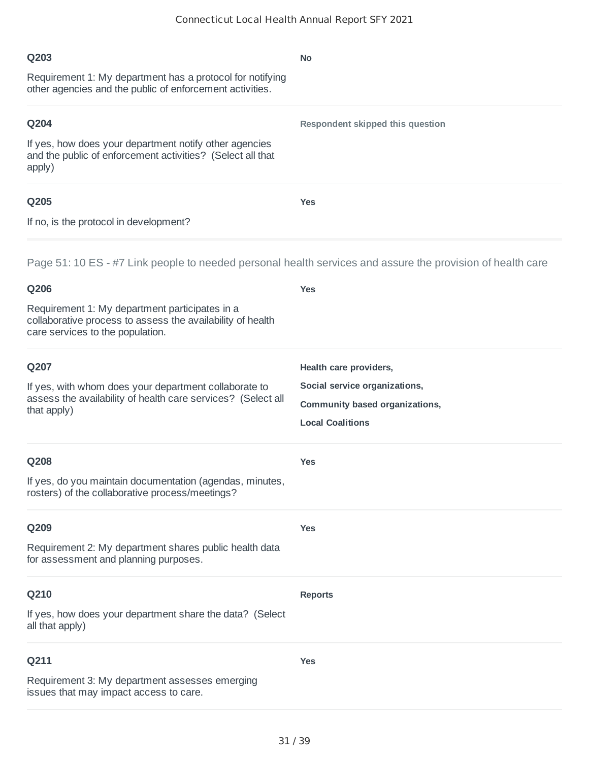| Q203                                                                                                                                             | No                               |
|--------------------------------------------------------------------------------------------------------------------------------------------------|----------------------------------|
| Requirement 1: My department has a protocol for notifying<br>other agencies and the public of enforcement activities.                            |                                  |
| Q204                                                                                                                                             | Respondent skipped this question |
| If yes, how does your department notify other agencies<br>and the public of enforcement activities? (Select all that<br>apply)                   |                                  |
| Q205                                                                                                                                             | <b>Yes</b>                       |
| If no, is the protocol in development?                                                                                                           |                                  |
| Page 51: 10 ES - #7 Link people to needed personal health services and assure the provision of health care                                       |                                  |
| Q206                                                                                                                                             | <b>Yes</b>                       |
| Requirement 1: My department participates in a<br>collaborative process to assess the availability of health<br>care services to the population. |                                  |
| Q207                                                                                                                                             | Health care providers,           |
| If yes, with whom does your department collaborate to                                                                                            | Social service organizations,    |
| assess the availability of health care services? (Select all<br>that apply)                                                                      | Community based organizations,   |
|                                                                                                                                                  | <b>Local Coalitions</b>          |
| Q208                                                                                                                                             | <b>Yes</b>                       |
| If yes, do you maintain documentation (agendas, minutes,<br>rosters) of the collaborative process/meetings?                                      |                                  |
| Q209                                                                                                                                             | <b>Yes</b>                       |
| Requirement 2: My department shares public health data<br>for assessment and planning purposes.                                                  |                                  |
| Q210                                                                                                                                             | <b>Reports</b>                   |
| If yes, how does your department share the data? (Select<br>all that apply)                                                                      |                                  |
| Q211                                                                                                                                             | <b>Yes</b>                       |
| Requirement 3: My department assesses emerging<br>issues that may impact access to care.                                                         |                                  |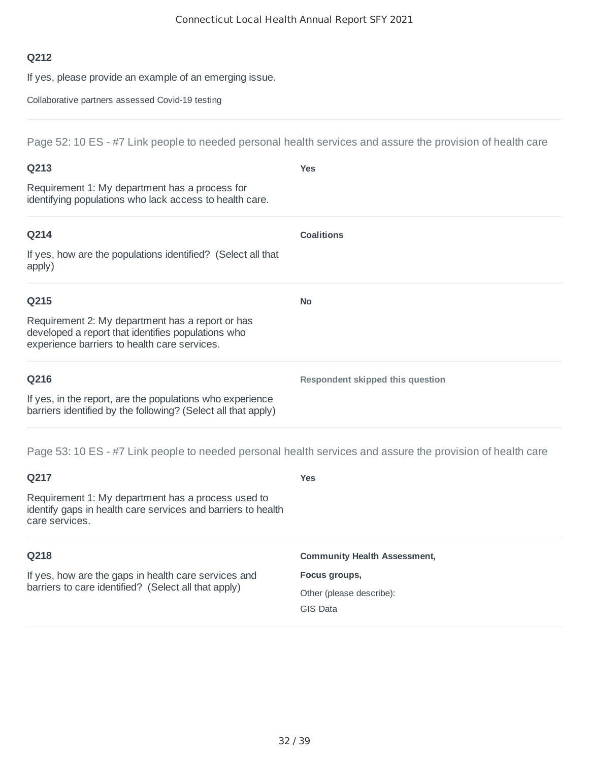If yes, please provide an example of an emerging issue.

Collaborative partners assessed Covid-19 testing

Page 52: 10 ES - #7 Link people to needed personal health services and assure the provision of health care

| Q213                                                                                                                                                   | <b>Yes</b>                       |
|--------------------------------------------------------------------------------------------------------------------------------------------------------|----------------------------------|
| Requirement 1: My department has a process for<br>identifying populations who lack access to health care.                                              |                                  |
| Q214                                                                                                                                                   | <b>Coalitions</b>                |
| If yes, how are the populations identified? (Select all that<br>apply)                                                                                 |                                  |
| Q215                                                                                                                                                   | <b>No</b>                        |
| Requirement 2: My department has a report or has<br>developed a report that identifies populations who<br>experience barriers to health care services. |                                  |
| Q216                                                                                                                                                   | Respondent skipped this question |
| If yes, in the report, are the populations who experience<br>barriers identified by the following? (Select all that apply)                             |                                  |
| Page 53: 10 ES - #7 Link people to needed personal health services and assure the provision of health care                                             |                                  |

| Q217                                                                                                                                 | <b>Yes</b>                          |
|--------------------------------------------------------------------------------------------------------------------------------------|-------------------------------------|
| Requirement 1: My department has a process used to<br>identify gaps in health care services and barriers to health<br>care services. |                                     |
| Q218                                                                                                                                 | <b>Community Health Assessment,</b> |
| If yes, how are the gaps in health care services and<br>barriers to care identified? (Select all that apply)                         | Focus groups,                       |
|                                                                                                                                      | Other (please describe):            |
|                                                                                                                                      | <b>GIS Data</b>                     |
|                                                                                                                                      |                                     |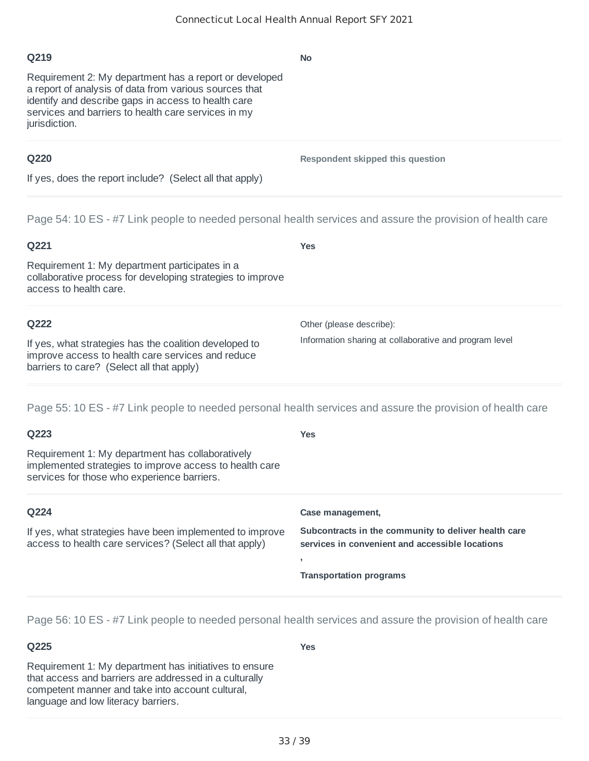**No**

**Respondent skipped this question**

#### **Q219**

Requirement 2: My department has a report or developed a report of analysis of data from various sources that identify and describe gaps in access to health care services and barriers to health care services in my jurisdiction.

#### **Q220**

If yes, does the report include? (Select all that apply)

Page 54: 10 ES - #7 Link people to needed personal health services and assure the provision of health care

| Q221                                                                                                                                                     | Yes                                                    |
|----------------------------------------------------------------------------------------------------------------------------------------------------------|--------------------------------------------------------|
| Requirement 1: My department participates in a<br>collaborative process for developing strategies to improve<br>access to health care.                   |                                                        |
| Q222                                                                                                                                                     | Other (please describe):                               |
| If yes, what strategies has the coalition developed to<br>improve access to health care services and reduce<br>barriers to care? (Select all that apply) | Information sharing at collaborative and program level |

Page 55: 10 ES - #7 Link people to needed personal health services and assure the provision of health care

| Q223                                                                                                                                                       | <b>Yes</b>                                                                                              |
|------------------------------------------------------------------------------------------------------------------------------------------------------------|---------------------------------------------------------------------------------------------------------|
| Requirement 1: My department has collaboratively<br>implemented strategies to improve access to health care<br>services for those who experience barriers. |                                                                                                         |
| Q224                                                                                                                                                       | Case management,                                                                                        |
| If yes, what strategies have been implemented to improve<br>access to health care services? (Select all that apply)                                        | Subcontracts in the community to deliver health care<br>services in convenient and accessible locations |
|                                                                                                                                                            | <b>Transportation programs</b>                                                                          |

Page 56: 10 ES - #7 Link people to needed personal health services and assure the provision of health care

## **Q225**

**Yes**

Requirement 1: My department has initiatives to ensure that access and barriers are addressed in a culturally competent manner and take into account cultural, language and low literacy barriers.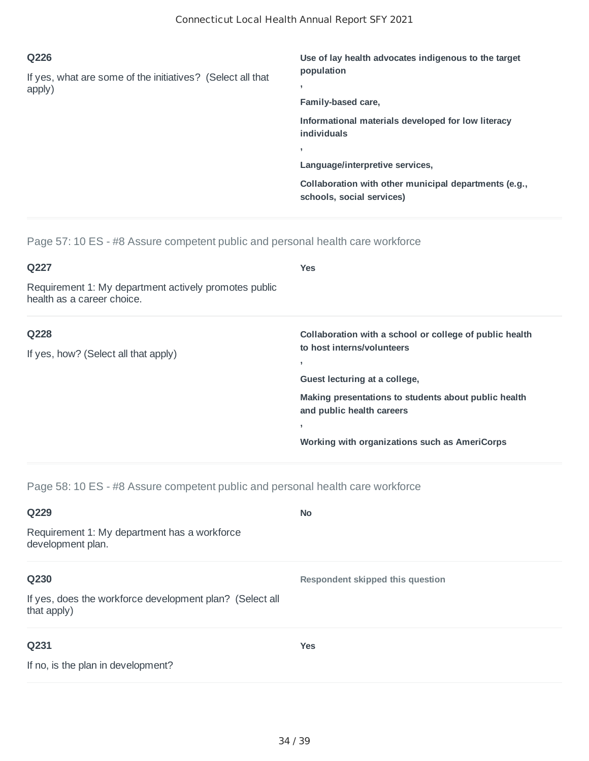| Q226                                                       | Use of lay health advocates indigenous to the target                               |
|------------------------------------------------------------|------------------------------------------------------------------------------------|
| If yes, what are some of the initiatives? (Select all that | population                                                                         |
| apply)                                                     | Family-based care,                                                                 |
|                                                            | Informational materials developed for low literacy<br><i>individuals</i>           |
|                                                            |                                                                                    |
|                                                            | Language/interpretive services,                                                    |
|                                                            | Collaboration with other municipal departments (e.g.,<br>schools, social services) |

Page 57: 10 ES - #8 Assure competent public and personal health care workforce

| Q227                                                                                | <b>Yes</b>                                                                                                                                                                                                                                                   |
|-------------------------------------------------------------------------------------|--------------------------------------------------------------------------------------------------------------------------------------------------------------------------------------------------------------------------------------------------------------|
| Requirement 1: My department actively promotes public<br>health as a career choice. |                                                                                                                                                                                                                                                              |
| Q228<br>If yes, how? (Select all that apply)                                        | Collaboration with a school or college of public health<br>to host interns/volunteers<br>Guest lecturing at a college,<br>Making presentations to students about public health<br>and public health careers<br>Working with organizations such as AmeriCorps |

Page 58: 10 ES - #8 Assure competent public and personal health care workforce

| Q229                                                                    | <b>No</b>                        |
|-------------------------------------------------------------------------|----------------------------------|
| Requirement 1: My department has a workforce<br>development plan.       |                                  |
| Q230                                                                    | Respondent skipped this question |
| If yes, does the workforce development plan? (Select all<br>that apply) |                                  |
| Q231                                                                    | <b>Yes</b>                       |
| If no, is the plan in development?                                      |                                  |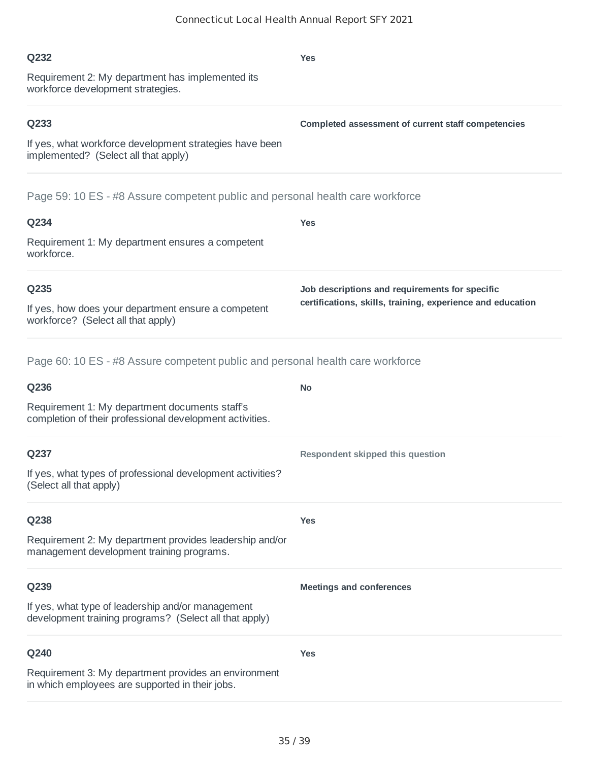| Q234                                                                                                        | <b>Yes</b>                                                                                                   |
|-------------------------------------------------------------------------------------------------------------|--------------------------------------------------------------------------------------------------------------|
| Requirement 1: My department ensures a competent<br>workforce.                                              |                                                                                                              |
| Q235<br>If yes, how does your department ensure a competent<br>workforce? (Select all that apply)           | Job descriptions and requirements for specific<br>certifications, skills, training, experience and education |
| Page 60: 10 ES - #8 Assure competent public and personal health care workforce                              |                                                                                                              |
| Q236                                                                                                        | <b>No</b>                                                                                                    |
| Requirement 1: My department documents staff's<br>completion of their professional development activities.  |                                                                                                              |
| Q237                                                                                                        | Respondent skipped this question                                                                             |
| If yes, what types of professional development activities?<br>(Select all that apply)                       |                                                                                                              |
| Q238                                                                                                        | <b>Yes</b>                                                                                                   |
| Requirement 2: My department provides leadership and/or<br>management development training programs.        |                                                                                                              |
| Q239                                                                                                        | <b>Meetings and conferences</b>                                                                              |
| If yes, what type of leadership and/or management<br>development training programs? (Select all that apply) |                                                                                                              |
| Q240                                                                                                        | <b>Yes</b>                                                                                                   |
| Requirement 3: My department provides an environment<br>in which employees are supported in their jobs.     |                                                                                                              |

#### Requirement 2: My department has implemented its workforce development strategies.

## **Q233**

**Q232**

If yes, what workforce development strategies have been implemented? (Select all that apply)

Page 59: 10 ES - #8 Assure competent public and personal health care workforce

# **Q234**

# **Q235**

# **Q237**

# **Q238**

# **Q239**

# **Q240**

#### **Yes**

**Completed assessment of current staff competencies**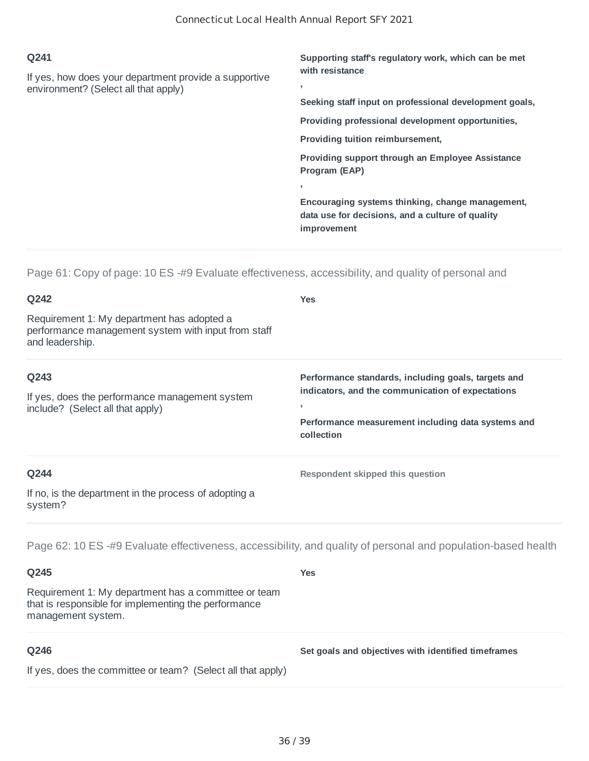| Q241                                                  | Supporting staff's regulatory work, which can be met   |
|-------------------------------------------------------|--------------------------------------------------------|
| If yes, how does your department provide a supportive | with resistance                                        |
| environment? (Select all that apply)                  | ٠                                                      |
|                                                       | Seeking staff input on professional development goals, |
|                                                       | Providing professional development opportunities.      |
|                                                       | Providing tuition reimbursement,                       |
|                                                       | Providing support through an Employee Assistance       |
|                                                       | Program (EAP)                                          |
|                                                       |                                                        |
|                                                       | Encouraging systems thinking, change management,       |
|                                                       | data use for decisions, and a culture of quality       |
|                                                       | improvement                                            |

Page 61: Copy of page: 10 ES -#9 Evaluate effectiveness, accessibility, and quality of personal and

| Q242                                                                                                                 | <b>Yes</b>                                                                                                                                                                                               |
|----------------------------------------------------------------------------------------------------------------------|----------------------------------------------------------------------------------------------------------------------------------------------------------------------------------------------------------|
| Requirement 1: My department has adopted a<br>performance management system with input from staff<br>and leadership. |                                                                                                                                                                                                          |
| Q243<br>If yes, does the performance management system<br>include? (Select all that apply)                           | Performance standards, including goals, targets and<br>indicators, and the communication of expectations<br>$\overline{\phantom{a}}$<br>Performance measurement including data systems and<br>collection |
| Q244<br>If no, is the department in the process of adopting a<br>system?                                             | Respondent skipped this question                                                                                                                                                                         |

Page 62: 10 ES -#9 Evaluate effectiveness, accessibility, and quality of personal and population-based health

**Yes**

#### **Q245**

Requirement 1: My department has a committee or team that is responsible for implementing the performance management system.

# **Q246**

**Set goals and objectives with identified timeframes**

If yes, does the committee or team? (Select all that apply)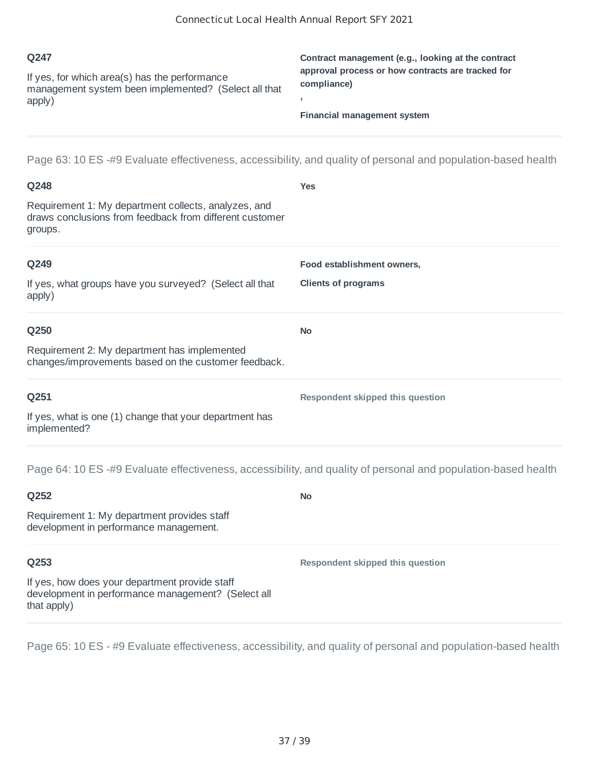| O <sub>247</sub>                                                                                      | Contract management (e.g., looking at the contract               |
|-------------------------------------------------------------------------------------------------------|------------------------------------------------------------------|
| If yes, for which area(s) has the performance<br>management system been implemented? (Select all that | approval process or how contracts are tracked for<br>compliance) |
| apply)                                                                                                | Financial management system                                      |
|                                                                                                       |                                                                  |

Page 63: 10 ES -#9 Evaluate effectiveness, accessibility, and quality of personal and population-based health

| Q248                                                                                                                       | <b>Yes</b>                       |
|----------------------------------------------------------------------------------------------------------------------------|----------------------------------|
| Requirement 1: My department collects, analyzes, and<br>draws conclusions from feedback from different customer<br>groups. |                                  |
| Q249                                                                                                                       | Food establishment owners,       |
| If yes, what groups have you surveyed? (Select all that<br>apply)                                                          | <b>Clients of programs</b>       |
| Q250                                                                                                                       | <b>No</b>                        |
| Requirement 2: My department has implemented<br>changes/improvements based on the customer feedback.                       |                                  |
| Q251                                                                                                                       | Respondent skipped this question |
| If yes, what is one (1) change that your department has<br>implemented?                                                    |                                  |
| Page 64: 10 ES -#9 Evaluate effectiveness, accessibility, and quality of personal and population-based health              |                                  |
| Q252                                                                                                                       | <b>No</b>                        |
| Requirement 1: My department provides staff<br>development in performance management.                                      |                                  |

#### **Q253**

If yes, how does your department provide staff development in performance management? (Select all that apply)

Page 65: 10 ES - #9 Evaluate effectiveness, accessibility, and quality of personal and population-based health

**Respondent skipped this question**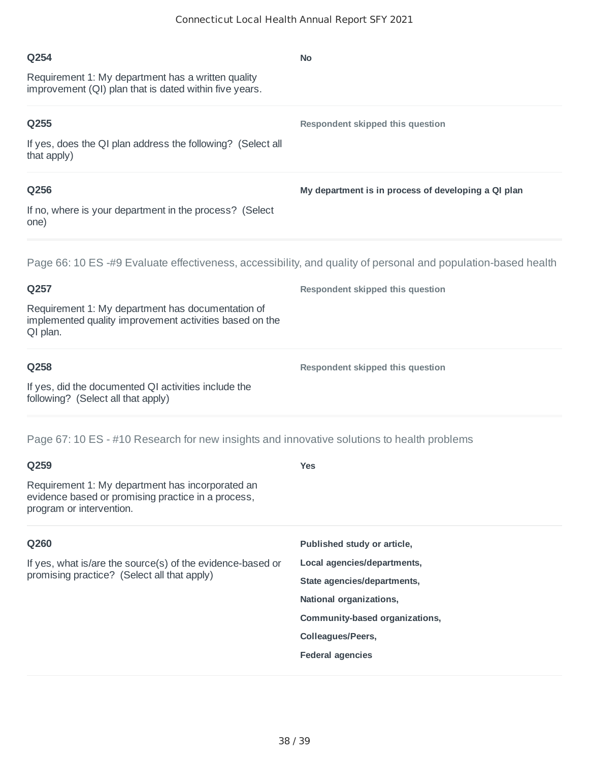| Q254                                                                                                          | <b>No</b>                                           |
|---------------------------------------------------------------------------------------------------------------|-----------------------------------------------------|
| Requirement 1: My department has a written quality<br>improvement (QI) plan that is dated within five years.  |                                                     |
| Q255                                                                                                          | Respondent skipped this question                    |
| If yes, does the QI plan address the following? (Select all<br>that apply)                                    |                                                     |
| Q256                                                                                                          | My department is in process of developing a QI plan |
| If no, where is your department in the process? (Select<br>one)                                               |                                                     |
| Page 66: 10 ES -#9 Evaluate effectiveness, accessibility, and quality of personal and population-based health |                                                     |
| Q257                                                                                                          | Respondent skipped this question                    |
| Requirement 1: My department has documentation of<br>implemented quality improvement activities based on the  |                                                     |
| QI plan.                                                                                                      |                                                     |

**Respondent skipped this question**

If yes, did the documented QI activities include the following? (Select all that apply)

Page 67: 10 ES - #10 Research for new insights and innovative solutions to health problems

| ×<br>×<br>۰.<br>۰.<br>× |
|-------------------------|
|-------------------------|

Requirement 1: My department has incorporated an evidence based or promising practice in a process, program or intervention.

#### **Q260**

If yes, what is/are the source(s) of the evidence-based or promising practice? (Select all that apply)

# **Published study or article,**

**Yes**

**Local agencies/departments,**

**State agencies/departments,**

**National organizations,**

**Community-based organizations,**

**Colleagues/Peers,**

#### **Federal agencies**

38 / 39